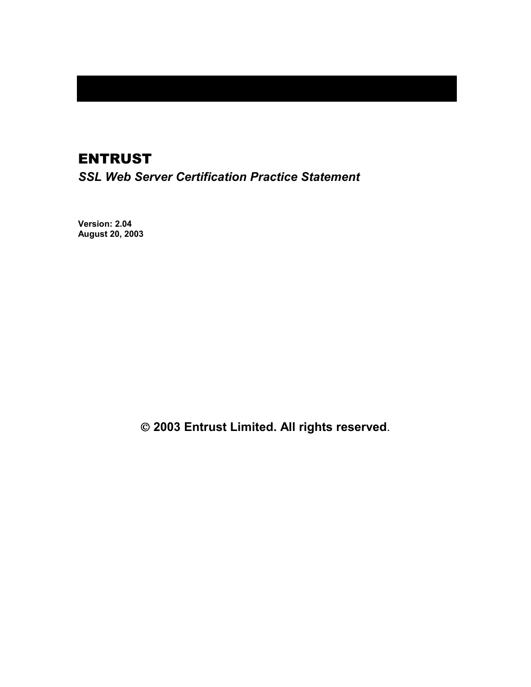# ENTRUST

*SSL Web Server Certification Practice Statement* 

**Version: 2.04 August 20, 2003** 

 **2003 Entrust Limited. All rights reserved**.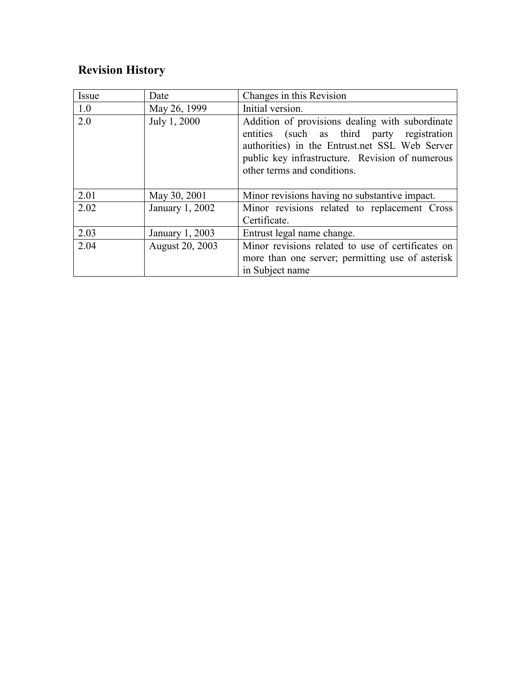# **Revision History**

| Issue | Date            | Changes in this Revision                                                                                                                                                                                                          |
|-------|-----------------|-----------------------------------------------------------------------------------------------------------------------------------------------------------------------------------------------------------------------------------|
| 1.0   | May 26, 1999    | Initial version.                                                                                                                                                                                                                  |
| 2.0   | July 1, 2000    | Addition of provisions dealing with subordinate<br>entities (such as third party registration<br>authorities) in the Entrust.net SSL Web Server<br>public key infrastructure. Revision of numerous<br>other terms and conditions. |
| 2.01  | May 30, 2001    | Minor revisions having no substantive impact.                                                                                                                                                                                     |
| 2.02  | January 1, 2002 | Minor revisions related to replacement Cross                                                                                                                                                                                      |
|       |                 | Certificate.                                                                                                                                                                                                                      |
| 2.03  | January 1, 2003 | Entrust legal name change.                                                                                                                                                                                                        |
| 2.04  | August 20, 2003 | Minor revisions related to use of certificates on<br>more than one server; permitting use of asterisk<br>in Subject name                                                                                                          |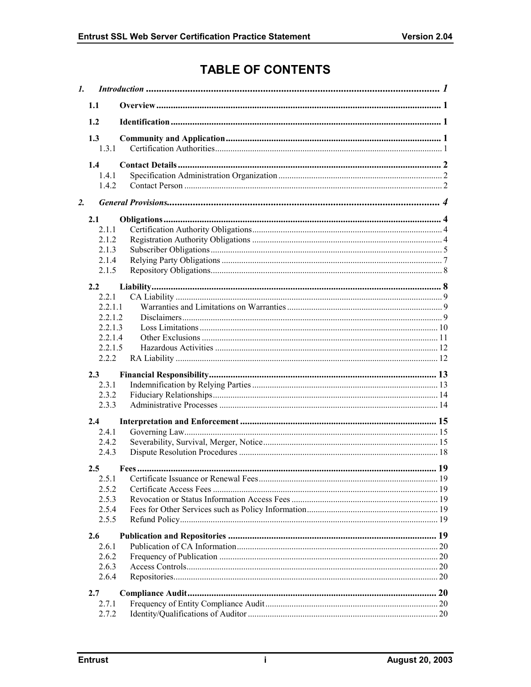# **TABLE OF CONTENTS**

| $\mathbf{I}$ . |                |  |  |
|----------------|----------------|--|--|
|                | 1.1            |  |  |
|                | 1.2            |  |  |
|                | 1.3            |  |  |
|                | 1.3.1          |  |  |
|                | 1.4            |  |  |
|                | 1.4.1          |  |  |
|                | 1.4.2          |  |  |
| 2.             |                |  |  |
|                | 2.1            |  |  |
|                | 2.1.1          |  |  |
|                | 2.1.2          |  |  |
|                | 2.1.3          |  |  |
|                | 2.1.4          |  |  |
|                | 2.1.5          |  |  |
|                | 2.2            |  |  |
|                | 2.2.1          |  |  |
|                | 2211           |  |  |
|                | 2.2.1.2        |  |  |
|                | 2.2.1.3        |  |  |
|                | 2.2.1.4        |  |  |
|                | 2.2.1.5        |  |  |
|                | 2.2.2          |  |  |
|                | 2.3            |  |  |
|                | 2.3.1          |  |  |
|                | 2.3.2          |  |  |
|                | 2.3.3          |  |  |
|                |                |  |  |
|                | 2.4            |  |  |
|                | 2.4.1          |  |  |
|                | 2.4.2<br>2.4.3 |  |  |
|                |                |  |  |
|                | 2.5            |  |  |
|                | 2.5.1          |  |  |
|                | 2.5.2          |  |  |
|                | 2.5.3          |  |  |
|                | 2.5.4          |  |  |
|                | 2.5.5          |  |  |
|                | 2.6            |  |  |
|                | 2.6.1          |  |  |
|                | 2.6.2          |  |  |
|                | 2.6.3          |  |  |
|                | 2.6.4          |  |  |
|                | 2.7            |  |  |
|                | 2.7.1          |  |  |
|                | 2.7.2          |  |  |
|                |                |  |  |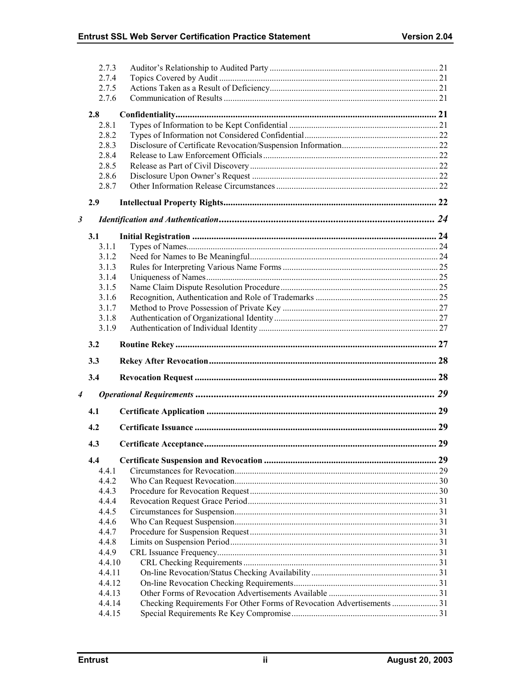|                      | 2.7.3            |                                                                       |  |
|----------------------|------------------|-----------------------------------------------------------------------|--|
|                      | 2.7.4            |                                                                       |  |
|                      | 2.7.5            |                                                                       |  |
|                      | 2.7.6            |                                                                       |  |
|                      | 2.8              |                                                                       |  |
|                      | 2.8.1            |                                                                       |  |
|                      | 2.8.2            |                                                                       |  |
|                      | 2.8.3            |                                                                       |  |
|                      | 2.8.4            |                                                                       |  |
|                      | 2.8.5            |                                                                       |  |
|                      | 2.8.6            |                                                                       |  |
|                      | 2.8.7            |                                                                       |  |
|                      | 2.9              |                                                                       |  |
| $\boldsymbol{\beta}$ |                  |                                                                       |  |
|                      |                  |                                                                       |  |
|                      | 3.1<br>3.1.1     |                                                                       |  |
|                      | 3.1.2            |                                                                       |  |
|                      | 3.1.3            |                                                                       |  |
|                      | 3.1.4            |                                                                       |  |
|                      | 3.1.5            |                                                                       |  |
|                      | 3.1.6            |                                                                       |  |
|                      | 3.1.7            |                                                                       |  |
|                      | 3.1.8            |                                                                       |  |
|                      | 3.1.9            |                                                                       |  |
|                      |                  |                                                                       |  |
|                      |                  |                                                                       |  |
|                      | 3.2              |                                                                       |  |
|                      | 3.3              |                                                                       |  |
|                      | 3.4              |                                                                       |  |
| 4                    |                  |                                                                       |  |
|                      | 4.1              |                                                                       |  |
|                      | 4.2              |                                                                       |  |
|                      | 4.3              |                                                                       |  |
|                      | 4.4              |                                                                       |  |
|                      | 4.4.1            |                                                                       |  |
|                      | 4.4.2            |                                                                       |  |
|                      | 4.4.3            |                                                                       |  |
|                      | 4.4.4            |                                                                       |  |
|                      | 4.4.5            |                                                                       |  |
|                      | 4.4.6            |                                                                       |  |
|                      | 4.4.7            |                                                                       |  |
|                      | 4.4.8            |                                                                       |  |
|                      | 4.4.9            |                                                                       |  |
|                      | 4.4.10           |                                                                       |  |
|                      | 4.4.11           |                                                                       |  |
|                      | 4.4.12           |                                                                       |  |
|                      | 4.4.13           |                                                                       |  |
|                      | 4.4.14<br>4.4.15 | Checking Requirements For Other Forms of Revocation Advertisements 31 |  |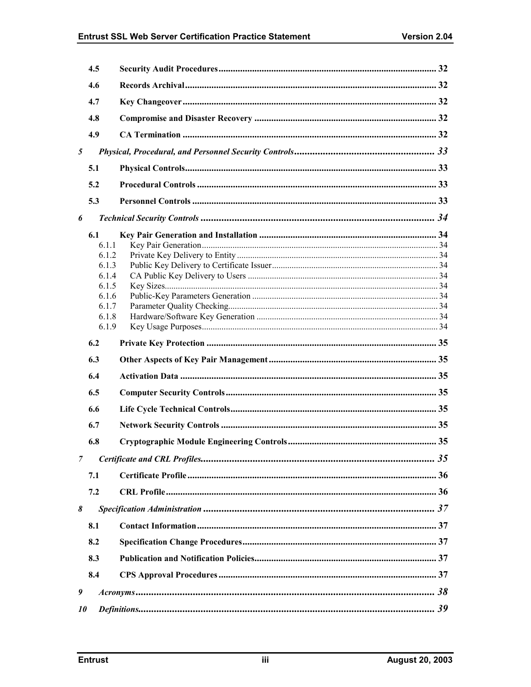|   | 4.5            |  |
|---|----------------|--|
|   | 4.6            |  |
|   | 4.7            |  |
|   | 4.8            |  |
|   | 4.9            |  |
|   |                |  |
| 5 |                |  |
|   | 5.1            |  |
|   | 5.2            |  |
|   | 5.3            |  |
| 6 |                |  |
|   | 6.1            |  |
|   | 6.1.1          |  |
|   | 6.1.2          |  |
|   | 6.1.3          |  |
|   | 6.1.4          |  |
|   | 6.1.5<br>6.1.6 |  |
|   | 6.1.7          |  |
|   | 6.1.8          |  |
|   | 6.1.9          |  |
|   |                |  |
|   |                |  |
|   | 6.2            |  |
|   | 6.3            |  |
|   | 6.4            |  |
|   | 6.5            |  |
|   | 6.6            |  |
|   | 6.7            |  |
|   | 6.8            |  |
| 7 |                |  |
|   | 7.1            |  |
|   |                |  |
|   | 7.2            |  |
| 8 |                |  |
|   | 8.1            |  |
|   | 8.2            |  |
|   | 8.3            |  |
|   | 8.4            |  |
| 9 |                |  |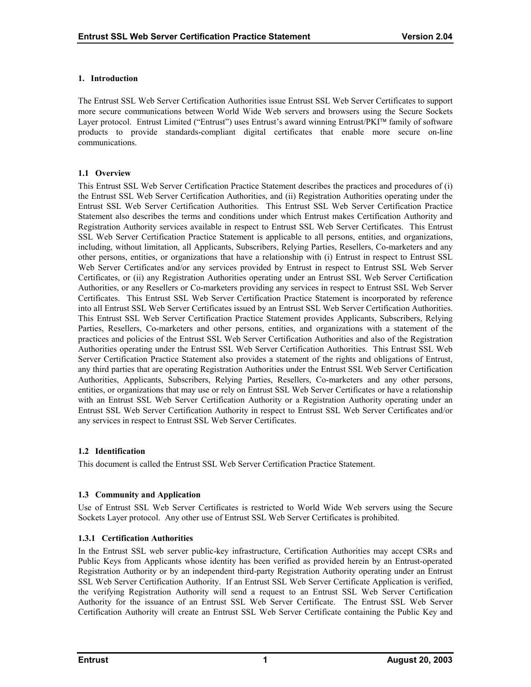# <span id="page-5-0"></span>**1. Introduction**

The Entrust SSL Web Server Certification Authorities issue Entrust SSL Web Server Certificates to support more secure communications between World Wide Web servers and browsers using the Secure Sockets Layer protocol. Entrust Limited ("Entrust") uses Entrust's award winning Entrust/PKI™ family of software products to provide standards-compliant digital certificates that enable more secure on-line communications.

# **1.1 Overview**

This Entrust SSL Web Server Certification Practice Statement describes the practices and procedures of (i) the Entrust SSL Web Server Certification Authorities, and (ii) Registration Authorities operating under the Entrust SSL Web Server Certification Authorities. This Entrust SSL Web Server Certification Practice Statement also describes the terms and conditions under which Entrust makes Certification Authority and Registration Authority services available in respect to Entrust SSL Web Server Certificates. This Entrust SSL Web Server Certification Practice Statement is applicable to all persons, entities, and organizations, including, without limitation, all Applicants, Subscribers, Relying Parties, Resellers, Co-marketers and any other persons, entities, or organizations that have a relationship with (i) Entrust in respect to Entrust SSL Web Server Certificates and/or any services provided by Entrust in respect to Entrust SSL Web Server Certificates, or (ii) any Registration Authorities operating under an Entrust SSL Web Server Certification Authorities, or any Resellers or Co-marketers providing any services in respect to Entrust SSL Web Server Certificates. This Entrust SSL Web Server Certification Practice Statement is incorporated by reference into all Entrust SSL Web Server Certificates issued by an Entrust SSL Web Server Certification Authorities. This Entrust SSL Web Server Certification Practice Statement provides Applicants, Subscribers, Relying Parties, Resellers, Co-marketers and other persons, entities, and organizations with a statement of the practices and policies of the Entrust SSL Web Server Certification Authorities and also of the Registration Authorities operating under the Entrust SSL Web Server Certification Authorities. This Entrust SSL Web Server Certification Practice Statement also provides a statement of the rights and obligations of Entrust, any third parties that are operating Registration Authorities under the Entrust SSL Web Server Certification Authorities, Applicants, Subscribers, Relying Parties, Resellers, Co-marketers and any other persons, entities, or organizations that may use or rely on Entrust SSL Web Server Certificates or have a relationship with an Entrust SSL Web Server Certification Authority or a Registration Authority operating under an Entrust SSL Web Server Certification Authority in respect to Entrust SSL Web Server Certificates and/or any services in respect to Entrust SSL Web Server Certificates.

# **1.2 Identification**

This document is called the Entrust SSL Web Server Certification Practice Statement.

# **1.3 Community and Application**

Use of Entrust SSL Web Server Certificates is restricted to World Wide Web servers using the Secure Sockets Layer protocol. Any other use of Entrust SSL Web Server Certificates is prohibited.

# **1.3.1 Certification Authorities**

In the Entrust SSL web server public-key infrastructure, Certification Authorities may accept CSRs and Public Keys from Applicants whose identity has been verified as provided herein by an Entrust-operated Registration Authority or by an independent third-party Registration Authority operating under an Entrust SSL Web Server Certification Authority. If an Entrust SSL Web Server Certificate Application is verified, the verifying Registration Authority will send a request to an Entrust SSL Web Server Certification Authority for the issuance of an Entrust SSL Web Server Certificate. The Entrust SSL Web Server Certification Authority will create an Entrust SSL Web Server Certificate containing the Public Key and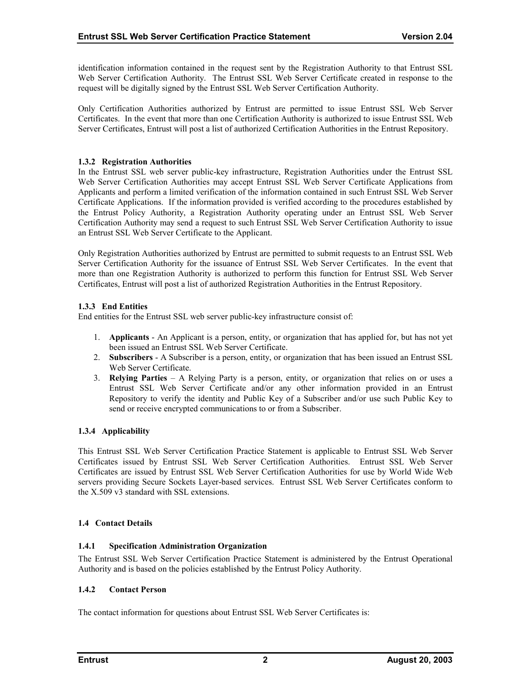<span id="page-6-0"></span>identification information contained in the request sent by the Registration Authority to that Entrust SSL Web Server Certification Authority. The Entrust SSL Web Server Certificate created in response to the request will be digitally signed by the Entrust SSL Web Server Certification Authority.

Only Certification Authorities authorized by Entrust are permitted to issue Entrust SSL Web Server Certificates. In the event that more than one Certification Authority is authorized to issue Entrust SSL Web Server Certificates, Entrust will post a list of authorized Certification Authorities in the Entrust Repository.

#### **1.3.2 Registration Authorities**

In the Entrust SSL web server public-key infrastructure, Registration Authorities under the Entrust SSL Web Server Certification Authorities may accept Entrust SSL Web Server Certificate Applications from Applicants and perform a limited verification of the information contained in such Entrust SSL Web Server Certificate Applications. If the information provided is verified according to the procedures established by the Entrust Policy Authority, a Registration Authority operating under an Entrust SSL Web Server Certification Authority may send a request to such Entrust SSL Web Server Certification Authority to issue an Entrust SSL Web Server Certificate to the Applicant.

Only Registration Authorities authorized by Entrust are permitted to submit requests to an Entrust SSL Web Server Certification Authority for the issuance of Entrust SSL Web Server Certificates. In the event that more than one Registration Authority is authorized to perform this function for Entrust SSL Web Server Certificates, Entrust will post a list of authorized Registration Authorities in the Entrust Repository.

# **1.3.3 End Entities**

End entities for the Entrust SSL web server public-key infrastructure consist of:

- 1. **Applicants** An Applicant is a person, entity, or organization that has applied for, but has not yet been issued an Entrust SSL Web Server Certificate.
- 2. **Subscribers**  A Subscriber is a person, entity, or organization that has been issued an Entrust SSL Web Server Certificate.
- 3. **Relying Parties**  A Relying Party is a person, entity, or organization that relies on or uses a Entrust SSL Web Server Certificate and/or any other information provided in an Entrust Repository to verify the identity and Public Key of a Subscriber and/or use such Public Key to send or receive encrypted communications to or from a Subscriber.

# **1.3.4 Applicability**

This Entrust SSL Web Server Certification Practice Statement is applicable to Entrust SSL Web Server Certificates issued by Entrust SSL Web Server Certification Authorities. Entrust SSL Web Server Certificates are issued by Entrust SSL Web Server Certification Authorities for use by World Wide Web servers providing Secure Sockets Layer-based services. Entrust SSL Web Server Certificates conform to the X.509 v3 standard with SSL extensions.

# **1.4 Contact Details**

# **1.4.1 Specification Administration Organization**

The Entrust SSL Web Server Certification Practice Statement is administered by the Entrust Operational Authority and is based on the policies established by the Entrust Policy Authority.

# **1.4.2 Contact Person**

The contact information for questions about Entrust SSL Web Server Certificates is: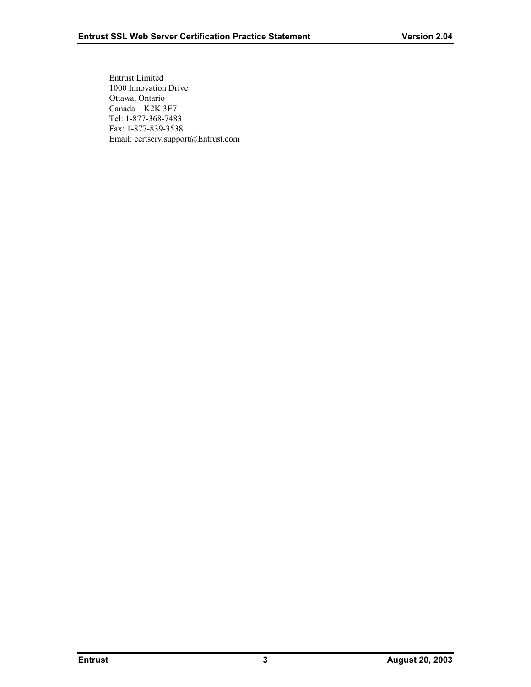Entrust Limited 1000 Innovation Drive Ottawa, Ontario Canada K2K 3E7 Tel: 1-877-368-7483 Fax: 1-877-839-3538 Email: certserv.support@Entrust.com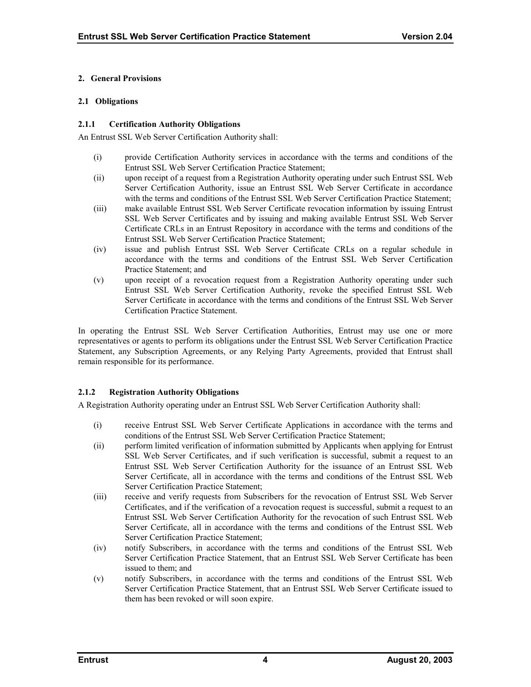#### <span id="page-8-0"></span>**2. General Provisions**

#### **2.1 Obligations**

#### **2.1.1 Certification Authority Obligations**

An Entrust SSL Web Server Certification Authority shall:

- (i) provide Certification Authority services in accordance with the terms and conditions of the Entrust SSL Web Server Certification Practice Statement;
- (ii) upon receipt of a request from a Registration Authority operating under such Entrust SSL Web Server Certification Authority, issue an Entrust SSL Web Server Certificate in accordance with the terms and conditions of the Entrust SSL Web Server Certification Practice Statement;
- (iii) make available Entrust SSL Web Server Certificate revocation information by issuing Entrust SSL Web Server Certificates and by issuing and making available Entrust SSL Web Server Certificate CRLs in an Entrust Repository in accordance with the terms and conditions of the Entrust SSL Web Server Certification Practice Statement;
- (iv) issue and publish Entrust SSL Web Server Certificate CRLs on a regular schedule in accordance with the terms and conditions of the Entrust SSL Web Server Certification Practice Statement; and
- (v) upon receipt of a revocation request from a Registration Authority operating under such Entrust SSL Web Server Certification Authority, revoke the specified Entrust SSL Web Server Certificate in accordance with the terms and conditions of the Entrust SSL Web Server Certification Practice Statement.

In operating the Entrust SSL Web Server Certification Authorities, Entrust may use one or more representatives or agents to perform its obligations under the Entrust SSL Web Server Certification Practice Statement, any Subscription Agreements, or any Relying Party Agreements, provided that Entrust shall remain responsible for its performance.

# **2.1.2 Registration Authority Obligations**

A Registration Authority operating under an Entrust SSL Web Server Certification Authority shall:

- (i) receive Entrust SSL Web Server Certificate Applications in accordance with the terms and conditions of the Entrust SSL Web Server Certification Practice Statement;
- (ii) perform limited verification of information submitted by Applicants when applying for Entrust SSL Web Server Certificates, and if such verification is successful, submit a request to an Entrust SSL Web Server Certification Authority for the issuance of an Entrust SSL Web Server Certificate, all in accordance with the terms and conditions of the Entrust SSL Web Server Certification Practice Statement;
- (iii) receive and verify requests from Subscribers for the revocation of Entrust SSL Web Server Certificates, and if the verification of a revocation request is successful, submit a request to an Entrust SSL Web Server Certification Authority for the revocation of such Entrust SSL Web Server Certificate, all in accordance with the terms and conditions of the Entrust SSL Web Server Certification Practice Statement;
- (iv) notify Subscribers, in accordance with the terms and conditions of the Entrust SSL Web Server Certification Practice Statement, that an Entrust SSL Web Server Certificate has been issued to them; and
- (v) notify Subscribers, in accordance with the terms and conditions of the Entrust SSL Web Server Certification Practice Statement, that an Entrust SSL Web Server Certificate issued to them has been revoked or will soon expire.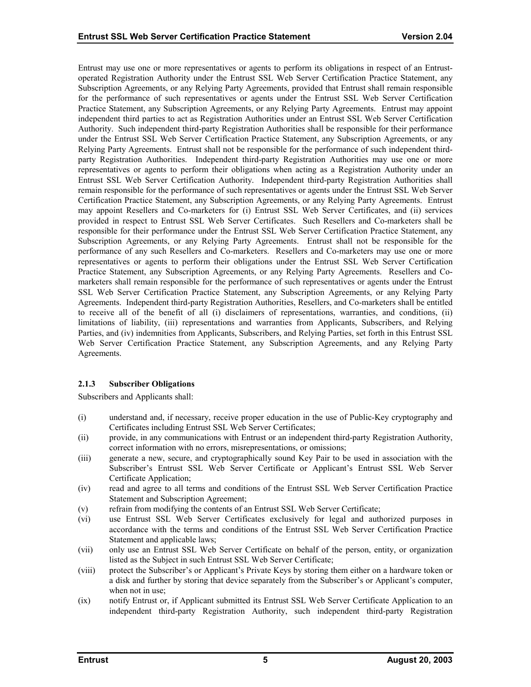<span id="page-9-0"></span>Entrust may use one or more representatives or agents to perform its obligations in respect of an Entrustoperated Registration Authority under the Entrust SSL Web Server Certification Practice Statement, any Subscription Agreements, or any Relying Party Agreements, provided that Entrust shall remain responsible for the performance of such representatives or agents under the Entrust SSL Web Server Certification Practice Statement, any Subscription Agreements, or any Relying Party Agreements. Entrust may appoint independent third parties to act as Registration Authorities under an Entrust SSL Web Server Certification Authority. Such independent third-party Registration Authorities shall be responsible for their performance under the Entrust SSL Web Server Certification Practice Statement, any Subscription Agreements, or any Relying Party Agreements. Entrust shall not be responsible for the performance of such independent thirdparty Registration Authorities. Independent third-party Registration Authorities may use one or more representatives or agents to perform their obligations when acting as a Registration Authority under an Entrust SSL Web Server Certification Authority. Independent third-party Registration Authorities shall remain responsible for the performance of such representatives or agents under the Entrust SSL Web Server Certification Practice Statement, any Subscription Agreements, or any Relying Party Agreements. Entrust may appoint Resellers and Co-marketers for (i) Entrust SSL Web Server Certificates, and (ii) services provided in respect to Entrust SSL Web Server Certificates. Such Resellers and Co-marketers shall be responsible for their performance under the Entrust SSL Web Server Certification Practice Statement, any Subscription Agreements, or any Relying Party Agreements. Entrust shall not be responsible for the performance of any such Resellers and Co-marketers. Resellers and Co-marketers may use one or more representatives or agents to perform their obligations under the Entrust SSL Web Server Certification Practice Statement, any Subscription Agreements, or any Relying Party Agreements. Resellers and Comarketers shall remain responsible for the performance of such representatives or agents under the Entrust SSL Web Server Certification Practice Statement, any Subscription Agreements, or any Relying Party Agreements. Independent third-party Registration Authorities, Resellers, and Co-marketers shall be entitled to receive all of the benefit of all (i) disclaimers of representations, warranties, and conditions, (ii) limitations of liability, (iii) representations and warranties from Applicants, Subscribers, and Relying Parties, and (iv) indemnities from Applicants, Subscribers, and Relying Parties, set forth in this Entrust SSL Web Server Certification Practice Statement, any Subscription Agreements, and any Relying Party Agreements.

# **2.1.3 Subscriber Obligations**

Subscribers and Applicants shall:

- (i) understand and, if necessary, receive proper education in the use of Public-Key cryptography and Certificates including Entrust SSL Web Server Certificates;
- (ii) provide, in any communications with Entrust or an independent third-party Registration Authority, correct information with no errors, misrepresentations, or omissions;
- (iii) generate a new, secure, and cryptographically sound Key Pair to be used in association with the Subscriber's Entrust SSL Web Server Certificate or Applicant's Entrust SSL Web Server Certificate Application;
- (iv) read and agree to all terms and conditions of the Entrust SSL Web Server Certification Practice Statement and Subscription Agreement;
- (v) refrain from modifying the contents of an Entrust SSL Web Server Certificate;
- (vi) use Entrust SSL Web Server Certificates exclusively for legal and authorized purposes in accordance with the terms and conditions of the Entrust SSL Web Server Certification Practice Statement and applicable laws;
- (vii) only use an Entrust SSL Web Server Certificate on behalf of the person, entity, or organization listed as the Subject in such Entrust SSL Web Server Certificate;
- (viii) protect the Subscriber's or Applicant's Private Keys by storing them either on a hardware token or a disk and further by storing that device separately from the Subscriber's or Applicant's computer, when not in use;
- (ix) notify Entrust or, if Applicant submitted its Entrust SSL Web Server Certificate Application to an independent third-party Registration Authority, such independent third-party Registration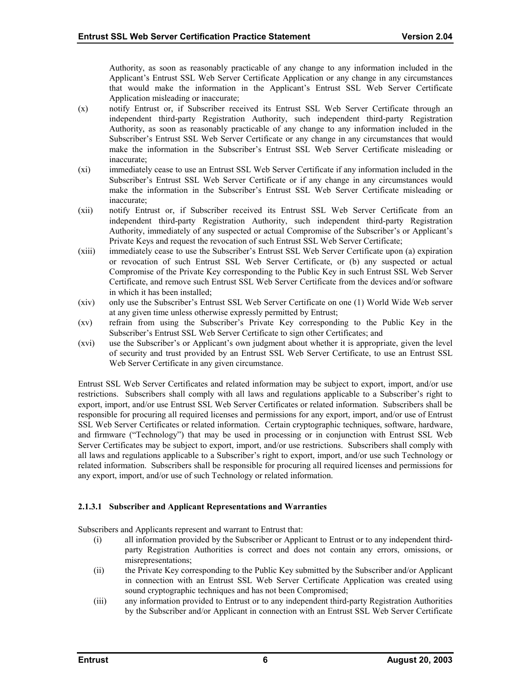Authority, as soon as reasonably practicable of any change to any information included in the Applicant's Entrust SSL Web Server Certificate Application or any change in any circumstances that would make the information in the Applicant's Entrust SSL Web Server Certificate Application misleading or inaccurate;

- (x) notify Entrust or, if Subscriber received its Entrust SSL Web Server Certificate through an independent third-party Registration Authority, such independent third-party Registration Authority, as soon as reasonably practicable of any change to any information included in the Subscriber's Entrust SSL Web Server Certificate or any change in any circumstances that would make the information in the Subscriber's Entrust SSL Web Server Certificate misleading or inaccurate;
- (xi) immediately cease to use an Entrust SSL Web Server Certificate if any information included in the Subscriber's Entrust SSL Web Server Certificate or if any change in any circumstances would make the information in the Subscriber's Entrust SSL Web Server Certificate misleading or inaccurate;
- (xii) notify Entrust or, if Subscriber received its Entrust SSL Web Server Certificate from an independent third-party Registration Authority, such independent third-party Registration Authority, immediately of any suspected or actual Compromise of the Subscriber's or Applicant's Private Keys and request the revocation of such Entrust SSL Web Server Certificate;
- (xiii) immediately cease to use the Subscriber's Entrust SSL Web Server Certificate upon (a) expiration or revocation of such Entrust SSL Web Server Certificate, or (b) any suspected or actual Compromise of the Private Key corresponding to the Public Key in such Entrust SSL Web Server Certificate, and remove such Entrust SSL Web Server Certificate from the devices and/or software in which it has been installed;
- (xiv) only use the Subscriber's Entrust SSL Web Server Certificate on one (1) World Wide Web server at any given time unless otherwise expressly permitted by Entrust;
- (xv) refrain from using the Subscriber's Private Key corresponding to the Public Key in the Subscriber's Entrust SSL Web Server Certificate to sign other Certificates; and
- (xvi) use the Subscriber's or Applicant's own judgment about whether it is appropriate, given the level of security and trust provided by an Entrust SSL Web Server Certificate, to use an Entrust SSL Web Server Certificate in any given circumstance.

Entrust SSL Web Server Certificates and related information may be subject to export, import, and/or use restrictions. Subscribers shall comply with all laws and regulations applicable to a Subscriber's right to export, import, and/or use Entrust SSL Web Server Certificates or related information. Subscribers shall be responsible for procuring all required licenses and permissions for any export, import, and/or use of Entrust SSL Web Server Certificates or related information. Certain cryptographic techniques, software, hardware, and firmware ("Technology") that may be used in processing or in conjunction with Entrust SSL Web Server Certificates may be subject to export, import, and/or use restrictions. Subscribers shall comply with all laws and regulations applicable to a Subscriber's right to export, import, and/or use such Technology or related information. Subscribers shall be responsible for procuring all required licenses and permissions for any export, import, and/or use of such Technology or related information.

# **2.1.3.1 Subscriber and Applicant Representations and Warranties**

Subscribers and Applicants represent and warrant to Entrust that:

- (i) all information provided by the Subscriber or Applicant to Entrust or to any independent thirdparty Registration Authorities is correct and does not contain any errors, omissions, or misrepresentations;
- (ii) the Private Key corresponding to the Public Key submitted by the Subscriber and/or Applicant in connection with an Entrust SSL Web Server Certificate Application was created using sound cryptographic techniques and has not been Compromised;
- (iii) any information provided to Entrust or to any independent third-party Registration Authorities by the Subscriber and/or Applicant in connection with an Entrust SSL Web Server Certificate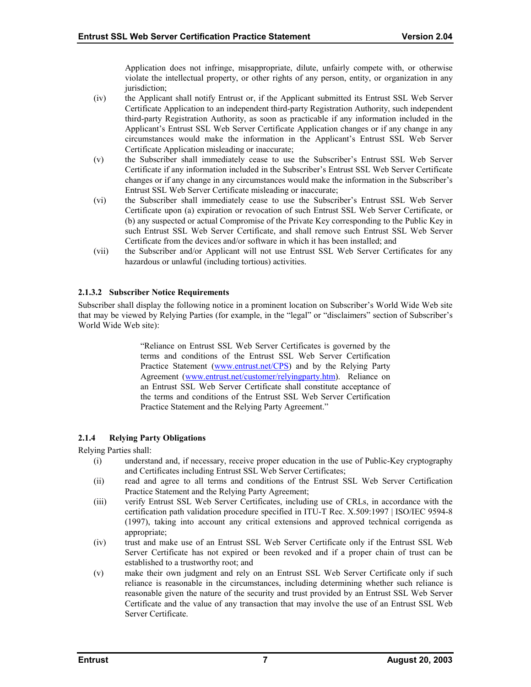Application does not infringe, misappropriate, dilute, unfairly compete with, or otherwise violate the intellectual property, or other rights of any person, entity, or organization in any jurisdiction:

- <span id="page-11-0"></span>(iv) the Applicant shall notify Entrust or, if the Applicant submitted its Entrust SSL Web Server Certificate Application to an independent third-party Registration Authority, such independent third-party Registration Authority, as soon as practicable if any information included in the Applicant's Entrust SSL Web Server Certificate Application changes or if any change in any circumstances would make the information in the Applicant's Entrust SSL Web Server Certificate Application misleading or inaccurate;
- (v) the Subscriber shall immediately cease to use the Subscriber's Entrust SSL Web Server Certificate if any information included in the Subscriber's Entrust SSL Web Server Certificate changes or if any change in any circumstances would make the information in the Subscriber's Entrust SSL Web Server Certificate misleading or inaccurate;
- (vi) the Subscriber shall immediately cease to use the Subscriber's Entrust SSL Web Server Certificate upon (a) expiration or revocation of such Entrust SSL Web Server Certificate, or (b) any suspected or actual Compromise of the Private Key corresponding to the Public Key in such Entrust SSL Web Server Certificate, and shall remove such Entrust SSL Web Server Certificate from the devices and/or software in which it has been installed; and
- (vii) the Subscriber and/or Applicant will not use Entrust SSL Web Server Certificates for any hazardous or unlawful (including tortious) activities.

# **2.1.3.2 Subscriber Notice Requirements**

Subscriber shall display the following notice in a prominent location on Subscriber's World Wide Web site that may be viewed by Relying Parties (for example, in the "legal" or "disclaimers" section of Subscriber's World Wide Web site):

> "Reliance on Entrust SSL Web Server Certificates is governed by the terms and conditions of the Entrust SSL Web Server Certification Practice Statement [\(www.entrust.net/CPS\)](http://www.entrust.net/CPS) and by the Relying Party Agreement ([www.entrust.net/customer/relyingparty.htm\)](http://www.entrust.net/?). Reliance on an Entrust SSL Web Server Certificate shall constitute acceptance of the terms and conditions of the Entrust SSL Web Server Certification Practice Statement and the Relying Party Agreement."

# **2.1.4 Relying Party Obligations**

Relying Parties shall:

- (i) understand and, if necessary, receive proper education in the use of Public-Key cryptography and Certificates including Entrust SSL Web Server Certificates;
- (ii) read and agree to all terms and conditions of the Entrust SSL Web Server Certification Practice Statement and the Relying Party Agreement;
- (iii) verify Entrust SSL Web Server Certificates, including use of CRLs, in accordance with the certification path validation procedure specified in ITU-T Rec. X.509:1997 | ISO/IEC 9594-8 (1997), taking into account any critical extensions and approved technical corrigenda as appropriate;
- (iv) trust and make use of an Entrust SSL Web Server Certificate only if the Entrust SSL Web Server Certificate has not expired or been revoked and if a proper chain of trust can be established to a trustworthy root; and
- (v) make their own judgment and rely on an Entrust SSL Web Server Certificate only if such reliance is reasonable in the circumstances, including determining whether such reliance is reasonable given the nature of the security and trust provided by an Entrust SSL Web Server Certificate and the value of any transaction that may involve the use of an Entrust SSL Web Server Certificate.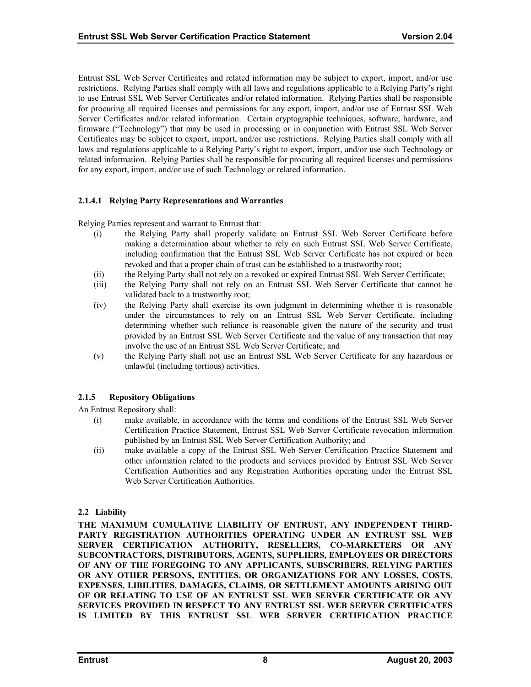<span id="page-12-0"></span>Entrust SSL Web Server Certificates and related information may be subject to export, import, and/or use restrictions. Relying Parties shall comply with all laws and regulations applicable to a Relying Party's right to use Entrust SSL Web Server Certificates and/or related information. Relying Parties shall be responsible for procuring all required licenses and permissions for any export, import, and/or use of Entrust SSL Web Server Certificates and/or related information. Certain cryptographic techniques, software, hardware, and firmware ("Technology") that may be used in processing or in conjunction with Entrust SSL Web Server Certificates may be subject to export, import, and/or use restrictions. Relying Parties shall comply with all laws and regulations applicable to a Relying Party's right to export, import, and/or use such Technology or related information. Relying Parties shall be responsible for procuring all required licenses and permissions for any export, import, and/or use of such Technology or related information.

# **2.1.4.1 Relying Party Representations and Warranties**

Relying Parties represent and warrant to Entrust that:

- (i) the Relying Party shall properly validate an Entrust SSL Web Server Certificate before making a determination about whether to rely on such Entrust SSL Web Server Certificate, including confirmation that the Entrust SSL Web Server Certificate has not expired or been revoked and that a proper chain of trust can be established to a trustworthy root;
- (ii) the Relying Party shall not rely on a revoked or expired Entrust SSL Web Server Certificate;
- (iii) the Relying Party shall not rely on an Entrust SSL Web Server Certificate that cannot be validated back to a trustworthy root;
- (iv) the Relying Party shall exercise its own judgment in determining whether it is reasonable under the circumstances to rely on an Entrust SSL Web Server Certificate, including determining whether such reliance is reasonable given the nature of the security and trust provided by an Entrust SSL Web Server Certificate and the value of any transaction that may involve the use of an Entrust SSL Web Server Certificate; and
- (v) the Relying Party shall not use an Entrust SSL Web Server Certificate for any hazardous or unlawful (including tortious) activities.

# **2.1.5 Repository Obligations**

An Entrust Repository shall:

- (i) make available, in accordance with the terms and conditions of the Entrust SSL Web Server Certification Practice Statement, Entrust SSL Web Server Certificate revocation information published by an Entrust SSL Web Server Certification Authority; and
- (ii) make available a copy of the Entrust SSL Web Server Certification Practice Statement and other information related to the products and services provided by Entrust SSL Web Server Certification Authorities and any Registration Authorities operating under the Entrust SSL Web Server Certification Authorities.

# **2.2 Liability**

**THE MAXIMUM CUMULATIVE LIABILITY OF ENTRUST, ANY INDEPENDENT THIRD-PARTY REGISTRATION AUTHORITIES OPERATING UNDER AN ENTRUST SSL WEB SERVER CERTIFICATION AUTHORITY, RESELLERS, CO-MARKETERS OR ANY SUBCONTRACTORS, DISTRIBUTORS, AGENTS, SUPPLIERS, EMPLOYEES OR DIRECTORS OF ANY OF THE FOREGOING TO ANY APPLICANTS, SUBSCRIBERS, RELYING PARTIES OR ANY OTHER PERSONS, ENTITIES, OR ORGANIZATIONS FOR ANY LOSSES, COSTS, EXPENSES, LIBILITIES, DAMAGES, CLAIMS, OR SETTLEMENT AMOUNTS ARISING OUT OF OR RELATING TO USE OF AN ENTRUST SSL WEB SERVER CERTIFICATE OR ANY SERVICES PROVIDED IN RESPECT TO ANY ENTRUST SSL WEB SERVER CERTIFICATES IS LIMITED BY THIS ENTRUST SSL WEB SERVER CERTIFICATION PRACTICE**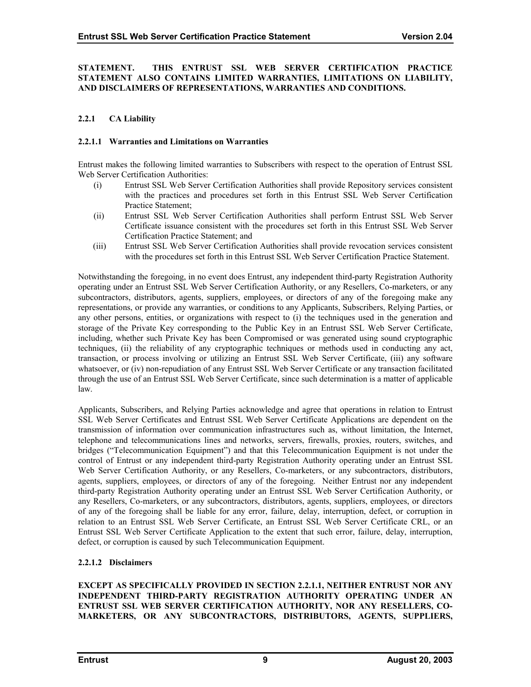#### <span id="page-13-0"></span>**STATEMENT. THIS ENTRUST SSL WEB SERVER CERTIFICATION PRACTICE STATEMENT ALSO CONTAINS LIMITED WARRANTIES, LIMITATIONS ON LIABILITY, AND DISCLAIMERS OF REPRESENTATIONS, WARRANTIES AND CONDITIONS.**

# **2.2.1 CA Liability**

#### **2.2.1.1 Warranties and Limitations on Warranties**

Entrust makes the following limited warranties to Subscribers with respect to the operation of Entrust SSL Web Server Certification Authorities:

- (i) Entrust SSL Web Server Certification Authorities shall provide Repository services consistent with the practices and procedures set forth in this Entrust SSL Web Server Certification Practice Statement;
- (ii) Entrust SSL Web Server Certification Authorities shall perform Entrust SSL Web Server Certificate issuance consistent with the procedures set forth in this Entrust SSL Web Server Certification Practice Statement; and
- (iii) Entrust SSL Web Server Certification Authorities shall provide revocation services consistent with the procedures set forth in this Entrust SSL Web Server Certification Practice Statement.

Notwithstanding the foregoing, in no event does Entrust, any independent third-party Registration Authority operating under an Entrust SSL Web Server Certification Authority, or any Resellers, Co-marketers, or any subcontractors, distributors, agents, suppliers, employees, or directors of any of the foregoing make any representations, or provide any warranties, or conditions to any Applicants, Subscribers, Relying Parties, or any other persons, entities, or organizations with respect to (i) the techniques used in the generation and storage of the Private Key corresponding to the Public Key in an Entrust SSL Web Server Certificate, including, whether such Private Key has been Compromised or was generated using sound cryptographic techniques, (ii) the reliability of any cryptographic techniques or methods used in conducting any act, transaction, or process involving or utilizing an Entrust SSL Web Server Certificate, (iii) any software whatsoever, or (iv) non-repudiation of any Entrust SSL Web Server Certificate or any transaction facilitated through the use of an Entrust SSL Web Server Certificate, since such determination is a matter of applicable law.

Applicants, Subscribers, and Relying Parties acknowledge and agree that operations in relation to Entrust SSL Web Server Certificates and Entrust SSL Web Server Certificate Applications are dependent on the transmission of information over communication infrastructures such as, without limitation, the Internet, telephone and telecommunications lines and networks, servers, firewalls, proxies, routers, switches, and bridges ("Telecommunication Equipment") and that this Telecommunication Equipment is not under the control of Entrust or any independent third-party Registration Authority operating under an Entrust SSL Web Server Certification Authority, or any Resellers, Co-marketers, or any subcontractors, distributors, agents, suppliers, employees, or directors of any of the foregoing. Neither Entrust nor any independent third-party Registration Authority operating under an Entrust SSL Web Server Certification Authority, or any Resellers, Co-marketers, or any subcontractors, distributors, agents, suppliers, employees, or directors of any of the foregoing shall be liable for any error, failure, delay, interruption, defect, or corruption in relation to an Entrust SSL Web Server Certificate, an Entrust SSL Web Server Certificate CRL, or an Entrust SSL Web Server Certificate Application to the extent that such error, failure, delay, interruption, defect, or corruption is caused by such Telecommunication Equipment.

# **2.2.1.2 Disclaimers**

**EXCEPT AS SPECIFICALLY PROVIDED IN SECTION 2.2.1.1, NEITHER ENTRUST NOR ANY INDEPENDENT THIRD-PARTY REGISTRATION AUTHORITY OPERATING UNDER AN ENTRUST SSL WEB SERVER CERTIFICATION AUTHORITY, NOR ANY RESELLERS, CO-MARKETERS, OR ANY SUBCONTRACTORS, DISTRIBUTORS, AGENTS, SUPPLIERS,**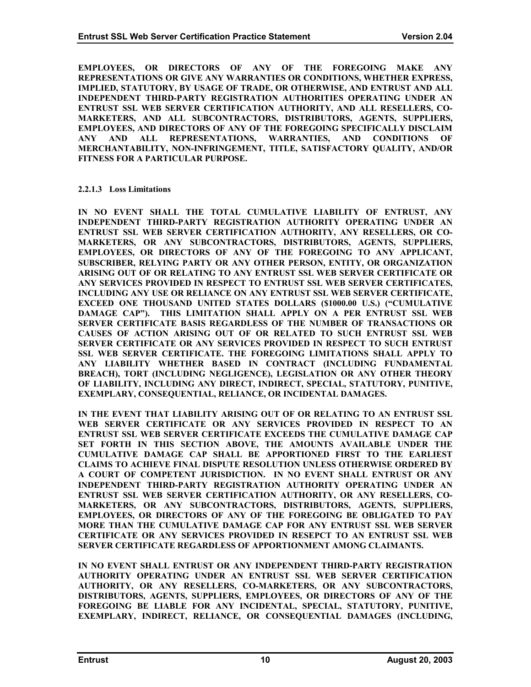<span id="page-14-0"></span>**EMPLOYEES, OR DIRECTORS OF ANY OF THE FOREGOING MAKE ANY REPRESENTATIONS OR GIVE ANY WARRANTIES OR CONDITIONS, WHETHER EXPRESS, IMPLIED, STATUTORY, BY USAGE OF TRADE, OR OTHERWISE, AND ENTRUST AND ALL INDEPENDENT THIRD-PARTY REGISTRATION AUTHORITIES OPERATING UNDER AN ENTRUST SSL WEB SERVER CERTIFICATION AUTHORITY, AND ALL RESELLERS, CO-MARKETERS, AND ALL SUBCONTRACTORS, DISTRIBUTORS, AGENTS, SUPPLIERS, EMPLOYEES, AND DIRECTORS OF ANY OF THE FOREGOING SPECIFICALLY DISCLAIM ANY AND ALL REPRESENTATIONS, WARRANTIES, AND CONDITIONS OF MERCHANTABILITY, NON-INFRINGEMENT, TITLE, SATISFACTORY QUALITY, AND/OR FITNESS FOR A PARTICULAR PURPOSE.** 

#### **2.2.1.3 Loss Limitations**

**IN NO EVENT SHALL THE TOTAL CUMULATIVE LIABILITY OF ENTRUST, ANY INDEPENDENT THIRD-PARTY REGISTRATION AUTHORITY OPERATING UNDER AN ENTRUST SSL WEB SERVER CERTIFICATION AUTHORITY, ANY RESELLERS, OR CO-MARKETERS, OR ANY SUBCONTRACTORS, DISTRIBUTORS, AGENTS, SUPPLIERS, EMPLOYEES, OR DIRECTORS OF ANY OF THE FOREGOING TO ANY APPLICANT, SUBSCRIBER, RELYING PARTY OR ANY OTHER PERSON, ENTITY, OR ORGANIZATION ARISING OUT OF OR RELATING TO ANY ENTRUST SSL WEB SERVER CERTIFICATE OR ANY SERVICES PROVIDED IN RESPECT TO ENTRUST SSL WEB SERVER CERTIFICATES, INCLUDING ANY USE OR RELIANCE ON ANY ENTRUST SSL WEB SERVER CERTIFICATE, EXCEED ONE THOUSAND UNITED STATES DOLLARS (\$1000.00 U.S.) ("CUMULATIVE DAMAGE CAP"). THIS LIMITATION SHALL APPLY ON A PER ENTRUST SSL WEB SERVER CERTIFICATE BASIS REGARDLESS OF THE NUMBER OF TRANSACTIONS OR CAUSES OF ACTION ARISING OUT OF OR RELATED TO SUCH ENTRUST SSL WEB SERVER CERTIFICATE OR ANY SERVICES PROVIDED IN RESPECT TO SUCH ENTRUST SSL WEB SERVER CERTIFICATE. THE FOREGOING LIMITATIONS SHALL APPLY TO ANY LIABILITY WHETHER BASED IN CONTRACT (INCLUDING FUNDAMENTAL BREACH), TORT (INCLUDING NEGLIGENCE), LEGISLATION OR ANY OTHER THEORY OF LIABILITY, INCLUDING ANY DIRECT, INDIRECT, SPECIAL, STATUTORY, PUNITIVE, EXEMPLARY, CONSEQUENTIAL, RELIANCE, OR INCIDENTAL DAMAGES.** 

**IN THE EVENT THAT LIABILITY ARISING OUT OF OR RELATING TO AN ENTRUST SSL WEB SERVER CERTIFICATE OR ANY SERVICES PROVIDED IN RESPECT TO AN ENTRUST SSL WEB SERVER CERTIFICATE EXCEEDS THE CUMULATIVE DAMAGE CAP SET FORTH IN THIS SECTION ABOVE, THE AMOUNTS AVAILABLE UNDER THE CUMULATIVE DAMAGE CAP SHALL BE APPORTIONED FIRST TO THE EARLIEST CLAIMS TO ACHIEVE FINAL DISPUTE RESOLUTION UNLESS OTHERWISE ORDERED BY A COURT OF COMPETENT JURISDICTION. IN NO EVENT SHALL ENTRUST OR ANY INDEPENDENT THIRD-PARTY REGISTRATION AUTHORITY OPERATING UNDER AN ENTRUST SSL WEB SERVER CERTIFICATION AUTHORITY, OR ANY RESELLERS, CO-MARKETERS, OR ANY SUBCONTRACTORS, DISTRIBUTORS, AGENTS, SUPPLIERS, EMPLOYEES, OR DIRECTORS OF ANY OF THE FOREGOING BE OBLIGATED TO PAY MORE THAN THE CUMULATIVE DAMAGE CAP FOR ANY ENTRUST SSL WEB SERVER CERTIFICATE OR ANY SERVICES PROVIDED IN RESEPCT TO AN ENTRUST SSL WEB SERVER CERTIFICATE REGARDLESS OF APPORTIONMENT AMONG CLAIMANTS.** 

**IN NO EVENT SHALL ENTRUST OR ANY INDEPENDENT THIRD-PARTY REGISTRATION AUTHORITY OPERATING UNDER AN ENTRUST SSL WEB SERVER CERTIFICATION AUTHORITY, OR ANY RESELLERS, CO-MARKETERS, OR ANY SUBCONTRACTORS, DISTRIBUTORS, AGENTS, SUPPLIERS, EMPLOYEES, OR DIRECTORS OF ANY OF THE FOREGOING BE LIABLE FOR ANY INCIDENTAL, SPECIAL, STATUTORY, PUNITIVE, EXEMPLARY, INDIRECT, RELIANCE, OR CONSEQUENTIAL DAMAGES (INCLUDING,**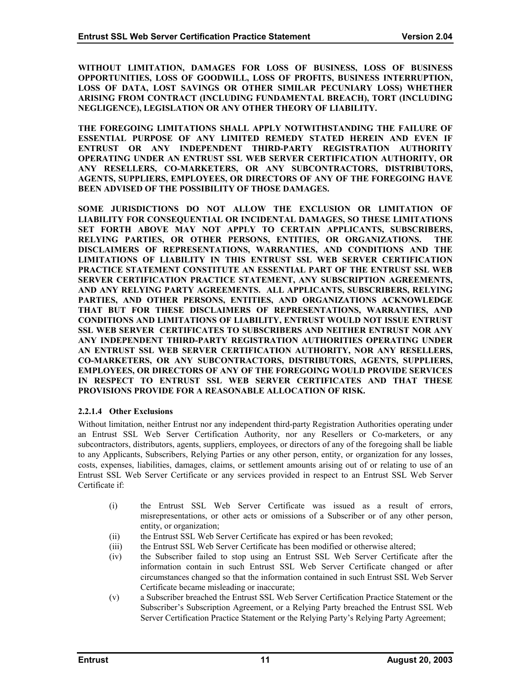<span id="page-15-0"></span>**WITHOUT LIMITATION, DAMAGES FOR LOSS OF BUSINESS, LOSS OF BUSINESS OPPORTUNITIES, LOSS OF GOODWILL, LOSS OF PROFITS, BUSINESS INTERRUPTION, LOSS OF DATA, LOST SAVINGS OR OTHER SIMILAR PECUNIARY LOSS) WHETHER ARISING FROM CONTRACT (INCLUDING FUNDAMENTAL BREACH), TORT (INCLUDING NEGLIGENCE), LEGISLATION OR ANY OTHER THEORY OF LIABILITY.** 

**THE FOREGOING LIMITATIONS SHALL APPLY NOTWITHSTANDING THE FAILURE OF ESSENTIAL PURPOSE OF ANY LIMITED REMEDY STATED HEREIN AND EVEN IF ENTRUST OR ANY INDEPENDENT THIRD-PARTY REGISTRATION AUTHORITY OPERATING UNDER AN ENTRUST SSL WEB SERVER CERTIFICATION AUTHORITY, OR ANY RESELLERS, CO-MARKETERS, OR ANY SUBCONTRACTORS, DISTRIBUTORS, AGENTS, SUPPLIERS, EMPLOYEES, OR DIRECTORS OF ANY OF THE FOREGOING HAVE BEEN ADVISED OF THE POSSIBILITY OF THOSE DAMAGES.** 

**SOME JURISDICTIONS DO NOT ALLOW THE EXCLUSION OR LIMITATION OF LIABILITY FOR CONSEQUENTIAL OR INCIDENTAL DAMAGES, SO THESE LIMITATIONS SET FORTH ABOVE MAY NOT APPLY TO CERTAIN APPLICANTS, SUBSCRIBERS, RELYING PARTIES, OR OTHER PERSONS, ENTITIES, OR ORGANIZATIONS. THE DISCLAIMERS OF REPRESENTATIONS, WARRANTIES, AND CONDITIONS AND THE LIMITATIONS OF LIABILITY IN THIS ENTRUST SSL WEB SERVER CERTIFICATION PRACTICE STATEMENT CONSTITUTE AN ESSENTIAL PART OF THE ENTRUST SSL WEB SERVER CERTIFICATION PRACTICE STATEMENT, ANY SUBSCRIPTION AGREEMENTS, AND ANY RELYING PARTY AGREEMENTS. ALL APPLICANTS, SUBSCRIBERS, RELYING PARTIES, AND OTHER PERSONS, ENTITIES, AND ORGANIZATIONS ACKNOWLEDGE THAT BUT FOR THESE DISCLAIMERS OF REPRESENTATIONS, WARRANTIES, AND CONDITIONS AND LIMITATIONS OF LIABILITY, ENTRUST WOULD NOT ISSUE ENTRUST SSL WEB SERVER CERTIFICATES TO SUBSCRIBERS AND NEITHER ENTRUST NOR ANY ANY INDEPENDENT THIRD-PARTY REGISTRATION AUTHORITIES OPERATING UNDER AN ENTRUST SSL WEB SERVER CERTIFICATION AUTHORITY, NOR ANY RESELLERS, CO-MARKETERS, OR ANY SUBCONTRACTORS, DISTRIBUTORS, AGENTS, SUPPLIERS, EMPLOYEES, OR DIRECTORS OF ANY OF THE FOREGOING WOULD PROVIDE SERVICES IN RESPECT TO ENTRUST SSL WEB SERVER CERTIFICATES AND THAT THESE PROVISIONS PROVIDE FOR A REASONABLE ALLOCATION OF RISK.** 

# **2.2.1.4 Other Exclusions**

Without limitation, neither Entrust nor any independent third-party Registration Authorities operating under an Entrust SSL Web Server Certification Authority, nor any Resellers or Co-marketers, or any subcontractors, distributors, agents, suppliers, employees, or directors of any of the foregoing shall be liable to any Applicants, Subscribers, Relying Parties or any other person, entity, or organization for any losses, costs, expenses, liabilities, damages, claims, or settlement amounts arising out of or relating to use of an Entrust SSL Web Server Certificate or any services provided in respect to an Entrust SSL Web Server Certificate if:

- (i) the Entrust SSL Web Server Certificate was issued as a result of errors, misrepresentations, or other acts or omissions of a Subscriber or of any other person, entity, or organization;
- (ii) the Entrust SSL Web Server Certificate has expired or has been revoked;
- (iii) the Entrust SSL Web Server Certificate has been modified or otherwise altered;
- (iv) the Subscriber failed to stop using an Entrust SSL Web Server Certificate after the information contain in such Entrust SSL Web Server Certificate changed or after circumstances changed so that the information contained in such Entrust SSL Web Server Certificate became misleading or inaccurate;
- (v) a Subscriber breached the Entrust SSL Web Server Certification Practice Statement or the Subscriber's Subscription Agreement, or a Relying Party breached the Entrust SSL Web Server Certification Practice Statement or the Relying Party's Relying Party Agreement;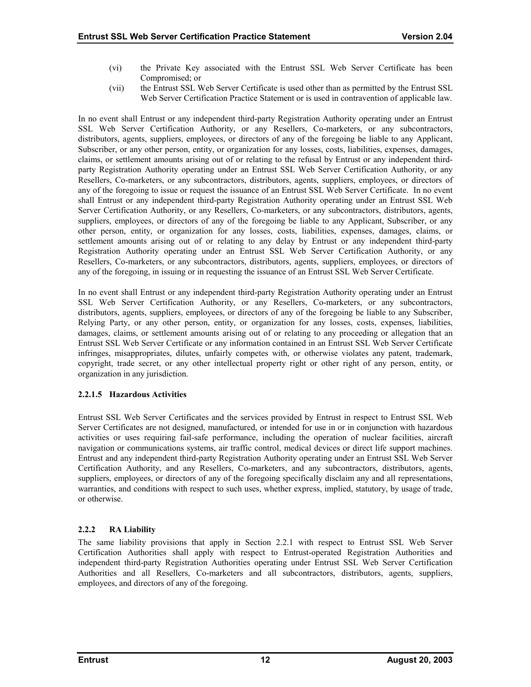- <span id="page-16-0"></span>(vi) the Private Key associated with the Entrust SSL Web Server Certificate has been Compromised; or
- (vii) the Entrust SSL Web Server Certificate is used other than as permitted by the Entrust SSL Web Server Certification Practice Statement or is used in contravention of applicable law.

In no event shall Entrust or any independent third-party Registration Authority operating under an Entrust SSL Web Server Certification Authority, or any Resellers, Co-marketers, or any subcontractors, distributors, agents, suppliers, employees, or directors of any of the foregoing be liable to any Applicant, Subscriber, or any other person, entity, or organization for any losses, costs, liabilities, expenses, damages, claims, or settlement amounts arising out of or relating to the refusal by Entrust or any independent thirdparty Registration Authority operating under an Entrust SSL Web Server Certification Authority, or any Resellers, Co-marketers, or any subcontractors, distributors, agents, suppliers, employees, or directors of any of the foregoing to issue or request the issuance of an Entrust SSL Web Server Certificate. In no event shall Entrust or any independent third-party Registration Authority operating under an Entrust SSL Web Server Certification Authority, or any Resellers, Co-marketers, or any subcontractors, distributors, agents, suppliers, employees, or directors of any of the foregoing be liable to any Applicant, Subscriber, or any other person, entity, or organization for any losses, costs, liabilities, expenses, damages, claims, or settlement amounts arising out of or relating to any delay by Entrust or any independent third-party Registration Authority operating under an Entrust SSL Web Server Certification Authority, or any Resellers, Co-marketers, or any subcontractors, distributors, agents, suppliers, employees, or directors of any of the foregoing, in issuing or in requesting the issuance of an Entrust SSL Web Server Certificate.

In no event shall Entrust or any independent third-party Registration Authority operating under an Entrust SSL Web Server Certification Authority, or any Resellers, Co-marketers, or any subcontractors, distributors, agents, suppliers, employees, or directors of any of the foregoing be liable to any Subscriber, Relying Party, or any other person, entity, or organization for any losses, costs, expenses, liabilities, damages, claims, or settlement amounts arising out of or relating to any proceeding or allegation that an Entrust SSL Web Server Certificate or any information contained in an Entrust SSL Web Server Certificate infringes, misappropriates, dilutes, unfairly competes with, or otherwise violates any patent, trademark, copyright, trade secret, or any other intellectual property right or other right of any person, entity, or organization in any jurisdiction.

# **2.2.1.5 Hazardous Activities**

Entrust SSL Web Server Certificates and the services provided by Entrust in respect to Entrust SSL Web Server Certificates are not designed, manufactured, or intended for use in or in conjunction with hazardous activities or uses requiring fail-safe performance, including the operation of nuclear facilities, aircraft navigation or communications systems, air traffic control, medical devices or direct life support machines. Entrust and any independent third-party Registration Authority operating under an Entrust SSL Web Server Certification Authority, and any Resellers, Co-marketers, and any subcontractors, distributors, agents, suppliers, employees, or directors of any of the foregoing specifically disclaim any and all representations, warranties, and conditions with respect to such uses, whether express, implied, statutory, by usage of trade, or otherwise.

# **2.2.2 RA Liability**

The same liability provisions that apply in Section 2.2.1 with respect to Entrust SSL Web Server Certification Authorities shall apply with respect to Entrust-operated Registration Authorities and independent third-party Registration Authorities operating under Entrust SSL Web Server Certification Authorities and all Resellers, Co-marketers and all subcontractors, distributors, agents, suppliers, employees, and directors of any of the foregoing.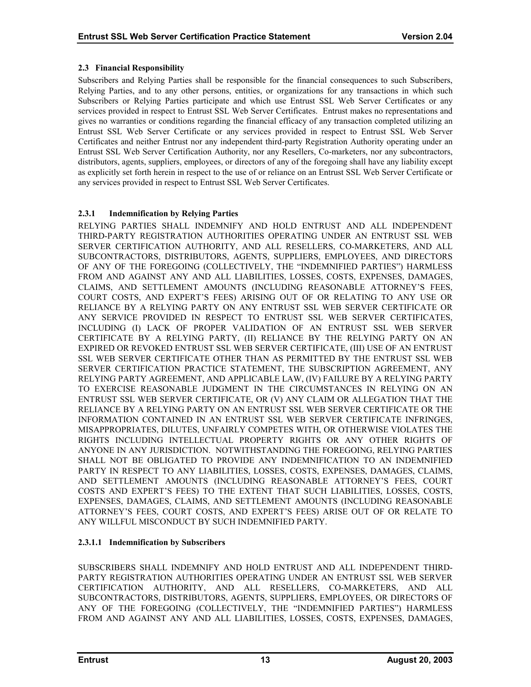# <span id="page-17-0"></span>**2.3 Financial Responsibility**

Subscribers and Relying Parties shall be responsible for the financial consequences to such Subscribers, Relying Parties, and to any other persons, entities, or organizations for any transactions in which such Subscribers or Relying Parties participate and which use Entrust SSL Web Server Certificates or any services provided in respect to Entrust SSL Web Server Certificates. Entrust makes no representations and gives no warranties or conditions regarding the financial efficacy of any transaction completed utilizing an Entrust SSL Web Server Certificate or any services provided in respect to Entrust SSL Web Server Certificates and neither Entrust nor any independent third-party Registration Authority operating under an Entrust SSL Web Server Certification Authority, nor any Resellers, Co-marketers, nor any subcontractors, distributors, agents, suppliers, employees, or directors of any of the foregoing shall have any liability except as explicitly set forth herein in respect to the use of or reliance on an Entrust SSL Web Server Certificate or any services provided in respect to Entrust SSL Web Server Certificates.

# **2.3.1 Indemnification by Relying Parties**

RELYING PARTIES SHALL INDEMNIFY AND HOLD ENTRUST AND ALL INDEPENDENT THIRD-PARTY REGISTRATION AUTHORITIES OPERATING UNDER AN ENTRUST SSL WEB SERVER CERTIFICATION AUTHORITY, AND ALL RESELLERS, CO-MARKETERS, AND ALL SUBCONTRACTORS, DISTRIBUTORS, AGENTS, SUPPLIERS, EMPLOYEES, AND DIRECTORS OF ANY OF THE FOREGOING (COLLECTIVELY, THE "INDEMNIFIED PARTIES") HARMLESS FROM AND AGAINST ANY AND ALL LIABILITIES, LOSSES, COSTS, EXPENSES, DAMAGES, CLAIMS, AND SETTLEMENT AMOUNTS (INCLUDING REASONABLE ATTORNEY'S FEES, COURT COSTS, AND EXPERT'S FEES) ARISING OUT OF OR RELATING TO ANY USE OR RELIANCE BY A RELYING PARTY ON ANY ENTRUST SSL WEB SERVER CERTIFICATE OR ANY SERVICE PROVIDED IN RESPECT TO ENTRUST SSL WEB SERVER CERTIFICATES, INCLUDING (I) LACK OF PROPER VALIDATION OF AN ENTRUST SSL WEB SERVER CERTIFICATE BY A RELYING PARTY, (II) RELIANCE BY THE RELYING PARTY ON AN EXPIRED OR REVOKED ENTRUST SSL WEB SERVER CERTIFICATE, (III) USE OF AN ENTRUST SSL WEB SERVER CERTIFICATE OTHER THAN AS PERMITTED BY THE ENTRUST SSL WEB SERVER CERTIFICATION PRACTICE STATEMENT, THE SUBSCRIPTION AGREEMENT, ANY RELYING PARTY AGREEMENT, AND APPLICABLE LAW, (IV) FAILURE BY A RELYING PARTY TO EXERCISE REASONABLE JUDGMENT IN THE CIRCUMSTANCES IN RELYING ON AN ENTRUST SSL WEB SERVER CERTIFICATE, OR (V) ANY CLAIM OR ALLEGATION THAT THE RELIANCE BY A RELYING PARTY ON AN ENTRUST SSL WEB SERVER CERTIFICATE OR THE INFORMATION CONTAINED IN AN ENTRUST SSL WEB SERVER CERTIFICATE INFRINGES, MISAPPROPRIATES, DILUTES, UNFAIRLY COMPETES WITH, OR OTHERWISE VIOLATES THE RIGHTS INCLUDING INTELLECTUAL PROPERTY RIGHTS OR ANY OTHER RIGHTS OF ANYONE IN ANY JURISDICTION. NOTWITHSTANDING THE FOREGOING, RELYING PARTIES SHALL NOT BE OBLIGATED TO PROVIDE ANY INDEMNIFICATION TO AN INDEMNIFIED PARTY IN RESPECT TO ANY LIABILITIES, LOSSES, COSTS, EXPENSES, DAMAGES, CLAIMS, AND SETTLEMENT AMOUNTS (INCLUDING REASONABLE ATTORNEY'S FEES, COURT COSTS AND EXPERT'S FEES) TO THE EXTENT THAT SUCH LIABILITIES, LOSSES, COSTS, EXPENSES, DAMAGES, CLAIMS, AND SETTLEMENT AMOUNTS (INCLUDING REASONABLE ATTORNEY'S FEES, COURT COSTS, AND EXPERT'S FEES) ARISE OUT OF OR RELATE TO ANY WILLFUL MISCONDUCT BY SUCH INDEMNIFIED PARTY.

# **2.3.1.1 Indemnification by Subscribers**

SUBSCRIBERS SHALL INDEMNIFY AND HOLD ENTRUST AND ALL INDEPENDENT THIRD-PARTY REGISTRATION AUTHORITIES OPERATING UNDER AN ENTRUST SSL WEB SERVER CERTIFICATION AUTHORITY, AND ALL RESELLERS, CO-MARKETERS, AND ALL SUBCONTRACTORS, DISTRIBUTORS, AGENTS, SUPPLIERS, EMPLOYEES, OR DIRECTORS OF ANY OF THE FOREGOING (COLLECTIVELY, THE "INDEMNIFIED PARTIES") HARMLESS FROM AND AGAINST ANY AND ALL LIABILITIES, LOSSES, COSTS, EXPENSES, DAMAGES,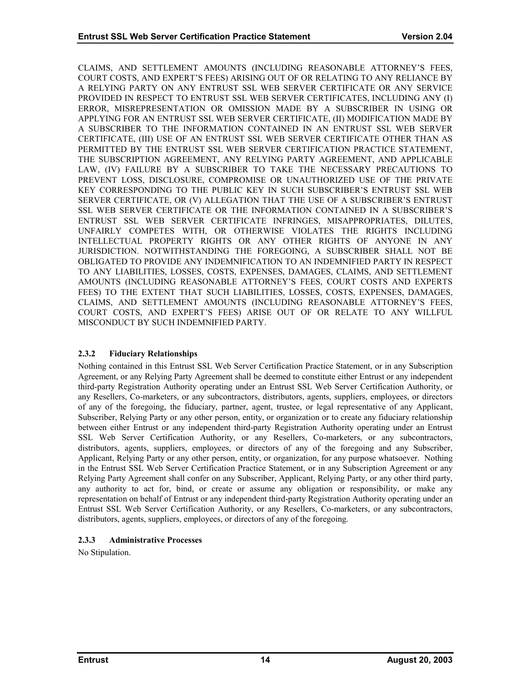<span id="page-18-0"></span>CLAIMS, AND SETTLEMENT AMOUNTS (INCLUDING REASONABLE ATTORNEY'S FEES, COURT COSTS, AND EXPERT'S FEES) ARISING OUT OF OR RELATING TO ANY RELIANCE BY A RELYING PARTY ON ANY ENTRUST SSL WEB SERVER CERTIFICATE OR ANY SERVICE PROVIDED IN RESPECT TO ENTRUST SSL WEB SERVER CERTIFICATES, INCLUDING ANY (I) ERROR, MISREPRESENTATION OR OMISSION MADE BY A SUBSCRIBER IN USING OR APPLYING FOR AN ENTRUST SSL WEB SERVER CERTIFICATE, (II) MODIFICATION MADE BY A SUBSCRIBER TO THE INFORMATION CONTAINED IN AN ENTRUST SSL WEB SERVER CERTIFICATE, (III) USE OF AN ENTRUST SSL WEB SERVER CERTIFICATE OTHER THAN AS PERMITTED BY THE ENTRUST SSL WEB SERVER CERTIFICATION PRACTICE STATEMENT, THE SUBSCRIPTION AGREEMENT, ANY RELYING PARTY AGREEMENT, AND APPLICABLE LAW, (IV) FAILURE BY A SUBSCRIBER TO TAKE THE NECESSARY PRECAUTIONS TO PREVENT LOSS, DISCLOSURE, COMPROMISE OR UNAUTHORIZED USE OF THE PRIVATE KEY CORRESPONDING TO THE PUBLIC KEY IN SUCH SUBSCRIBER'S ENTRUST SSL WEB SERVER CERTIFICATE, OR (V) ALLEGATION THAT THE USE OF A SUBSCRIBER'S ENTRUST SSL WEB SERVER CERTIFICATE OR THE INFORMATION CONTAINED IN A SUBSCRIBER'S ENTRUST SSL WEB SERVER CERTIFICATE INFRINGES, MISAPPROPRIATES, DILUTES, UNFAIRLY COMPETES WITH, OR OTHERWISE VIOLATES THE RIGHTS INCLUDING INTELLECTUAL PROPERTY RIGHTS OR ANY OTHER RIGHTS OF ANYONE IN ANY JURISDICTION. NOTWITHSTANDING THE FOREGOING, A SUBSCRIBER SHALL NOT BE OBLIGATED TO PROVIDE ANY INDEMNIFICATION TO AN INDEMNIFIED PARTY IN RESPECT TO ANY LIABILITIES, LOSSES, COSTS, EXPENSES, DAMAGES, CLAIMS, AND SETTLEMENT AMOUNTS (INCLUDING REASONABLE ATTORNEY'S FEES, COURT COSTS AND EXPERTS FEES) TO THE EXTENT THAT SUCH LIABILITIES, LOSSES, COSTS, EXPENSES, DAMAGES, CLAIMS, AND SETTLEMENT AMOUNTS (INCLUDING REASONABLE ATTORNEY'S FEES, COURT COSTS, AND EXPERT'S FEES) ARISE OUT OF OR RELATE TO ANY WILLFUL MISCONDUCT BY SUCH INDEMNIFIED PARTY.

# **2.3.2 Fiduciary Relationships**

Nothing contained in this Entrust SSL Web Server Certification Practice Statement, or in any Subscription Agreement, or any Relying Party Agreement shall be deemed to constitute either Entrust or any independent third-party Registration Authority operating under an Entrust SSL Web Server Certification Authority, or any Resellers, Co-marketers, or any subcontractors, distributors, agents, suppliers, employees, or directors of any of the foregoing, the fiduciary, partner, agent, trustee, or legal representative of any Applicant, Subscriber, Relying Party or any other person, entity, or organization or to create any fiduciary relationship between either Entrust or any independent third-party Registration Authority operating under an Entrust SSL Web Server Certification Authority, or any Resellers, Co-marketers, or any subcontractors, distributors, agents, suppliers, employees, or directors of any of the foregoing and any Subscriber, Applicant, Relying Party or any other person, entity, or organization, for any purpose whatsoever. Nothing in the Entrust SSL Web Server Certification Practice Statement, or in any Subscription Agreement or any Relying Party Agreement shall confer on any Subscriber, Applicant, Relying Party, or any other third party, any authority to act for, bind, or create or assume any obligation or responsibility, or make any representation on behalf of Entrust or any independent third-party Registration Authority operating under an Entrust SSL Web Server Certification Authority, or any Resellers, Co-marketers, or any subcontractors, distributors, agents, suppliers, employees, or directors of any of the foregoing.

# **2.3.3 Administrative Processes**

No Stipulation.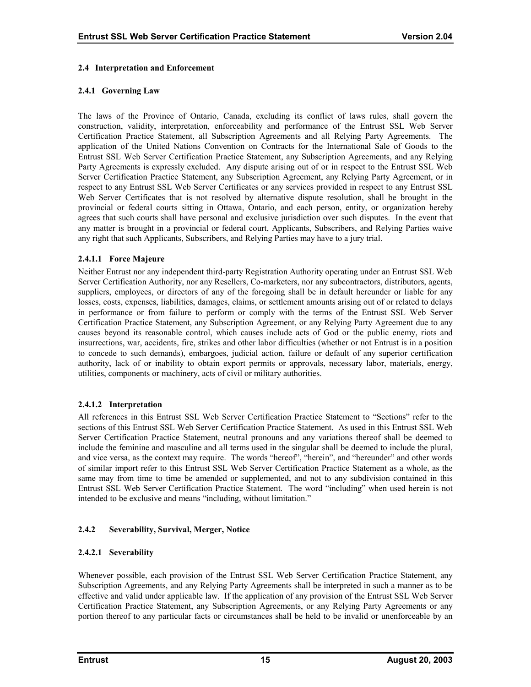#### <span id="page-19-0"></span>**2.4 Interpretation and Enforcement**

# **2.4.1 Governing Law**

The laws of the Province of Ontario, Canada, excluding its conflict of laws rules, shall govern the construction, validity, interpretation, enforceability and performance of the Entrust SSL Web Server Certification Practice Statement, all Subscription Agreements and all Relying Party Agreements. The application of the United Nations Convention on Contracts for the International Sale of Goods to the Entrust SSL Web Server Certification Practice Statement, any Subscription Agreements, and any Relying Party Agreements is expressly excluded. Any dispute arising out of or in respect to the Entrust SSL Web Server Certification Practice Statement, any Subscription Agreement, any Relying Party Agreement, or in respect to any Entrust SSL Web Server Certificates or any services provided in respect to any Entrust SSL Web Server Certificates that is not resolved by alternative dispute resolution, shall be brought in the provincial or federal courts sitting in Ottawa, Ontario, and each person, entity, or organization hereby agrees that such courts shall have personal and exclusive jurisdiction over such disputes. In the event that any matter is brought in a provincial or federal court, Applicants, Subscribers, and Relying Parties waive any right that such Applicants, Subscribers, and Relying Parties may have to a jury trial.

#### **2.4.1.1 Force Majeure**

Neither Entrust nor any independent third-party Registration Authority operating under an Entrust SSL Web Server Certification Authority, nor any Resellers, Co-marketers, nor any subcontractors, distributors, agents, suppliers, employees, or directors of any of the foregoing shall be in default hereunder or liable for any losses, costs, expenses, liabilities, damages, claims, or settlement amounts arising out of or related to delays in performance or from failure to perform or comply with the terms of the Entrust SSL Web Server Certification Practice Statement, any Subscription Agreement, or any Relying Party Agreement due to any causes beyond its reasonable control, which causes include acts of God or the public enemy, riots and insurrections, war, accidents, fire, strikes and other labor difficulties (whether or not Entrust is in a position to concede to such demands), embargoes, judicial action, failure or default of any superior certification authority, lack of or inability to obtain export permits or approvals, necessary labor, materials, energy, utilities, components or machinery, acts of civil or military authorities.

# **2.4.1.2 Interpretation**

All references in this Entrust SSL Web Server Certification Practice Statement to "Sections" refer to the sections of this Entrust SSL Web Server Certification Practice Statement. As used in this Entrust SSL Web Server Certification Practice Statement, neutral pronouns and any variations thereof shall be deemed to include the feminine and masculine and all terms used in the singular shall be deemed to include the plural, and vice versa, as the context may require. The words "hereof", "herein", and "hereunder" and other words of similar import refer to this Entrust SSL Web Server Certification Practice Statement as a whole, as the same may from time to time be amended or supplemented, and not to any subdivision contained in this Entrust SSL Web Server Certification Practice Statement. The word "including" when used herein is not intended to be exclusive and means "including, without limitation."

# **2.4.2 Severability, Survival, Merger, Notice**

# **2.4.2.1 Severability**

Whenever possible, each provision of the Entrust SSL Web Server Certification Practice Statement, any Subscription Agreements, and any Relying Party Agreements shall be interpreted in such a manner as to be effective and valid under applicable law. If the application of any provision of the Entrust SSL Web Server Certification Practice Statement, any Subscription Agreements, or any Relying Party Agreements or any portion thereof to any particular facts or circumstances shall be held to be invalid or unenforceable by an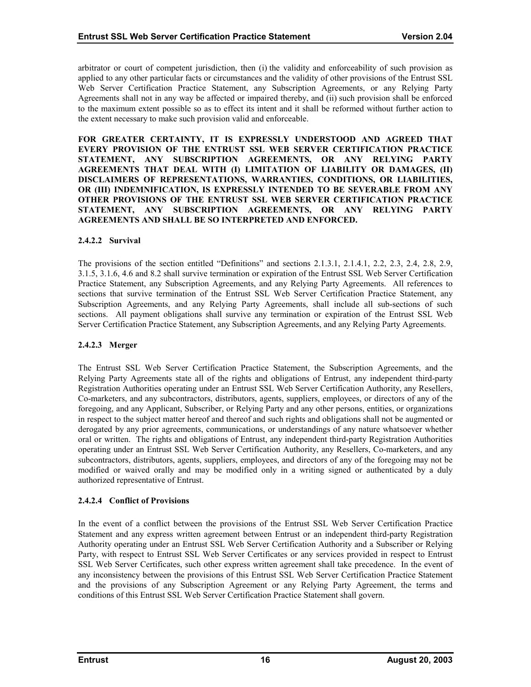arbitrator or court of competent jurisdiction, then (i) the validity and enforceability of such provision as applied to any other particular facts or circumstances and the validity of other provisions of the Entrust SSL Web Server Certification Practice Statement, any Subscription Agreements, or any Relying Party Agreements shall not in any way be affected or impaired thereby, and (ii) such provision shall be enforced to the maximum extent possible so as to effect its intent and it shall be reformed without further action to the extent necessary to make such provision valid and enforceable.

**FOR GREATER CERTAINTY, IT IS EXPRESSLY UNDERSTOOD AND AGREED THAT EVERY PROVISION OF THE ENTRUST SSL WEB SERVER CERTIFICATION PRACTICE STATEMENT, ANY SUBSCRIPTION AGREEMENTS, OR ANY RELYING PARTY AGREEMENTS THAT DEAL WITH (I) LIMITATION OF LIABILITY OR DAMAGES, (II) DISCLAIMERS OF REPRESENTATIONS, WARRANTIES, CONDITIONS, OR LIABILITIES, OR (III) INDEMNIFICATION, IS EXPRESSLY INTENDED TO BE SEVERABLE FROM ANY OTHER PROVISIONS OF THE ENTRUST SSL WEB SERVER CERTIFICATION PRACTICE STATEMENT, ANY SUBSCRIPTION AGREEMENTS, OR ANY RELYING PARTY AGREEMENTS AND SHALL BE SO INTERPRETED AND ENFORCED.** 

#### **2.4.2.2 Survival**

The provisions of the section entitled "Definitions" and sections 2.1.3.1, 2.1.4.1, 2.2, 2.3, 2.4, 2.8, 2.9, 3.1.5, 3.1.6, 4.6 and 8.2 shall survive termination or expiration of the Entrust SSL Web Server Certification Practice Statement, any Subscription Agreements, and any Relying Party Agreements. All references to sections that survive termination of the Entrust SSL Web Server Certification Practice Statement, any Subscription Agreements, and any Relying Party Agreements, shall include all sub-sections of such sections. All payment obligations shall survive any termination or expiration of the Entrust SSL Web Server Certification Practice Statement, any Subscription Agreements, and any Relying Party Agreements.

#### **2.4.2.3 Merger**

The Entrust SSL Web Server Certification Practice Statement, the Subscription Agreements, and the Relying Party Agreements state all of the rights and obligations of Entrust, any independent third-party Registration Authorities operating under an Entrust SSL Web Server Certification Authority, any Resellers, Co-marketers, and any subcontractors, distributors, agents, suppliers, employees, or directors of any of the foregoing, and any Applicant, Subscriber, or Relying Party and any other persons, entities, or organizations in respect to the subject matter hereof and thereof and such rights and obligations shall not be augmented or derogated by any prior agreements, communications, or understandings of any nature whatsoever whether oral or written. The rights and obligations of Entrust, any independent third-party Registration Authorities operating under an Entrust SSL Web Server Certification Authority, any Resellers, Co-marketers, and any subcontractors, distributors, agents, suppliers, employees, and directors of any of the foregoing may not be modified or waived orally and may be modified only in a writing signed or authenticated by a duly authorized representative of Entrust.

# **2.4.2.4 Conflict of Provisions**

In the event of a conflict between the provisions of the Entrust SSL Web Server Certification Practice Statement and any express written agreement between Entrust or an independent third-party Registration Authority operating under an Entrust SSL Web Server Certification Authority and a Subscriber or Relying Party, with respect to Entrust SSL Web Server Certificates or any services provided in respect to Entrust SSL Web Server Certificates, such other express written agreement shall take precedence. In the event of any inconsistency between the provisions of this Entrust SSL Web Server Certification Practice Statement and the provisions of any Subscription Agreement or any Relying Party Agreement, the terms and conditions of this Entrust SSL Web Server Certification Practice Statement shall govern.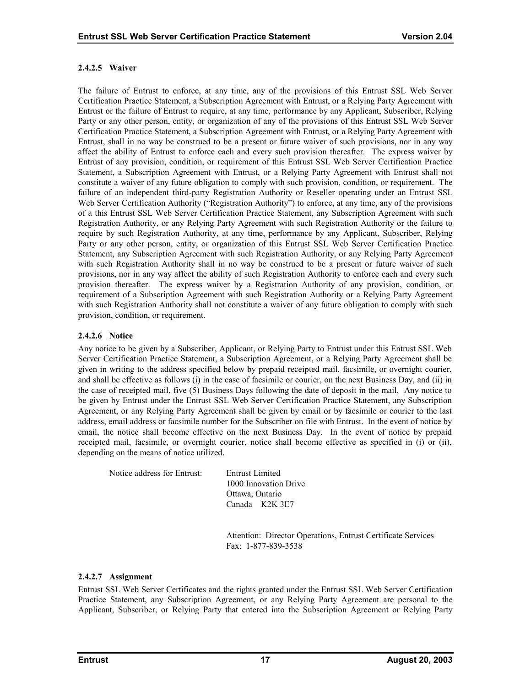#### **2.4.2.5 Waiver**

The failure of Entrust to enforce, at any time, any of the provisions of this Entrust SSL Web Server Certification Practice Statement, a Subscription Agreement with Entrust, or a Relying Party Agreement with Entrust or the failure of Entrust to require, at any time, performance by any Applicant, Subscriber, Relying Party or any other person, entity, or organization of any of the provisions of this Entrust SSL Web Server Certification Practice Statement, a Subscription Agreement with Entrust, or a Relying Party Agreement with Entrust, shall in no way be construed to be a present or future waiver of such provisions, nor in any way affect the ability of Entrust to enforce each and every such provision thereafter. The express waiver by Entrust of any provision, condition, or requirement of this Entrust SSL Web Server Certification Practice Statement, a Subscription Agreement with Entrust, or a Relying Party Agreement with Entrust shall not constitute a waiver of any future obligation to comply with such provision, condition, or requirement. The failure of an independent third-party Registration Authority or Reseller operating under an Entrust SSL Web Server Certification Authority ("Registration Authority") to enforce, at any time, any of the provisions of a this Entrust SSL Web Server Certification Practice Statement, any Subscription Agreement with such Registration Authority, or any Relying Party Agreement with such Registration Authority or the failure to require by such Registration Authority, at any time, performance by any Applicant, Subscriber, Relying Party or any other person, entity, or organization of this Entrust SSL Web Server Certification Practice Statement, any Subscription Agreement with such Registration Authority, or any Relying Party Agreement with such Registration Authority shall in no way be construed to be a present or future waiver of such provisions, nor in any way affect the ability of such Registration Authority to enforce each and every such provision thereafter. The express waiver by a Registration Authority of any provision, condition, or requirement of a Subscription Agreement with such Registration Authority or a Relying Party Agreement with such Registration Authority shall not constitute a waiver of any future obligation to comply with such provision, condition, or requirement.

# **2.4.2.6 Notice**

Any notice to be given by a Subscriber, Applicant, or Relying Party to Entrust under this Entrust SSL Web Server Certification Practice Statement, a Subscription Agreement, or a Relying Party Agreement shall be given in writing to the address specified below by prepaid receipted mail, facsimile, or overnight courier, and shall be effective as follows (i) in the case of facsimile or courier, on the next Business Day, and (ii) in the case of receipted mail, five (5) Business Days following the date of deposit in the mail. Any notice to be given by Entrust under the Entrust SSL Web Server Certification Practice Statement, any Subscription Agreement, or any Relying Party Agreement shall be given by email or by facsimile or courier to the last address, email address or facsimile number for the Subscriber on file with Entrust. In the event of notice by email, the notice shall become effective on the next Business Day. In the event of notice by prepaid receipted mail, facsimile, or overnight courier, notice shall become effective as specified in (i) or (ii), depending on the means of notice utilized.

Notice address for Entrust: Entrust Limited

1000 Innovation Drive Ottawa, Ontario Canada K2K 3E7

 Attention: Director Operations, Entrust Certificate Services Fax: 1-877-839-3538

# **2.4.2.7 Assignment**

Entrust SSL Web Server Certificates and the rights granted under the Entrust SSL Web Server Certification Practice Statement, any Subscription Agreement, or any Relying Party Agreement are personal to the Applicant, Subscriber, or Relying Party that entered into the Subscription Agreement or Relying Party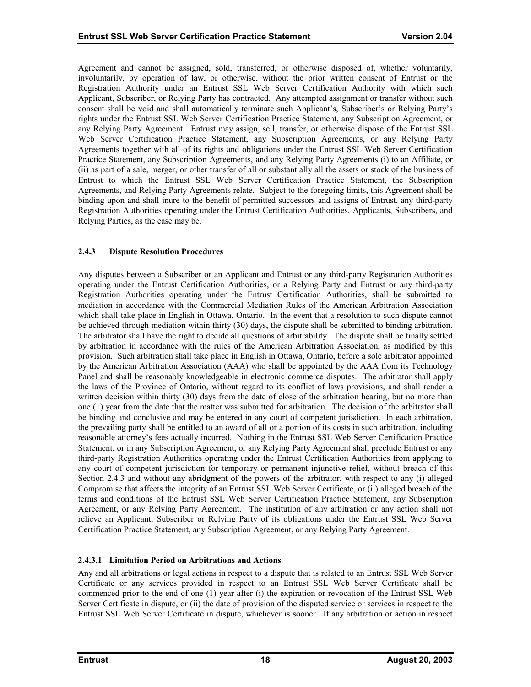<span id="page-22-0"></span>Agreement and cannot be assigned, sold, transferred, or otherwise disposed of, whether voluntarily, involuntarily, by operation of law, or otherwise, without the prior written consent of Entrust or the Registration Authority under an Entrust SSL Web Server Certification Authority with which such Applicant, Subscriber, or Relying Party has contracted. Any attempted assignment or transfer without such consent shall be void and shall automatically terminate such Applicant's, Subscriber's or Relying Party's rights under the Entrust SSL Web Server Certification Practice Statement, any Subscription Agreement, or any Relying Party Agreement. Entrust may assign, sell, transfer, or otherwise dispose of the Entrust SSL Web Server Certification Practice Statement, any Subscription Agreements, or any Relying Party Agreements together with all of its rights and obligations under the Entrust SSL Web Server Certification Practice Statement, any Subscription Agreements, and any Relying Party Agreements (i) to an Affiliate, or (ii) as part of a sale, merger, or other transfer of all or substantially all the assets or stock of the business of Entrust to which the Entrust SSL Web Server Certification Practice Statement, the Subscription Agreements, and Relying Party Agreements relate. Subject to the foregoing limits, this Agreement shall be binding upon and shall inure to the benefit of permitted successors and assigns of Entrust, any third-party Registration Authorities operating under the Entrust Certification Authorities, Applicants, Subscribers, and Relying Parties, as the case may be.

#### **2.4.3 Dispute Resolution Procedures**

Any disputes between a Subscriber or an Applicant and Entrust or any third-party Registration Authorities operating under the Entrust Certification Authorities, or a Relying Party and Entrust or any third-party Registration Authorities operating under the Entrust Certification Authorities, shall be submitted to mediation in accordance with the Commercial Mediation Rules of the American Arbitration Association which shall take place in English in Ottawa, Ontario. In the event that a resolution to such dispute cannot be achieved through mediation within thirty (30) days, the dispute shall be submitted to binding arbitration. The arbitrator shall have the right to decide all questions of arbitrability. The dispute shall be finally settled by arbitration in accordance with the rules of the American Arbitration Association, as modified by this provision. Such arbitration shall take place in English in Ottawa, Ontario, before a sole arbitrator appointed by the American Arbitration Association (AAA) who shall be appointed by the AAA from its Technology Panel and shall be reasonably knowledgeable in electronic commerce disputes. The arbitrator shall apply the laws of the Province of Ontario, without regard to its conflict of laws provisions, and shall render a written decision within thirty (30) days from the date of close of the arbitration hearing, but no more than one (1) year from the date that the matter was submitted for arbitration. The decision of the arbitrator shall be binding and conclusive and may be entered in any court of competent jurisdiction. In each arbitration, the prevailing party shall be entitled to an award of all or a portion of its costs in such arbitration, including reasonable attorney's fees actually incurred. Nothing in the Entrust SSL Web Server Certification Practice Statement, or in any Subscription Agreement, or any Relying Party Agreement shall preclude Entrust or any third-party Registration Authorities operating under the Entrust Certification Authorities from applying to any court of competent jurisdiction for temporary or permanent injunctive relief, without breach of this Section 2.4.3 and without any abridgment of the powers of the arbitrator, with respect to any (i) alleged Compromise that affects the integrity of an Entrust SSL Web Server Certificate, or (ii) alleged breach of the terms and conditions of the Entrust SSL Web Server Certification Practice Statement, any Subscription Agreement, or any Relying Party Agreement. The institution of any arbitration or any action shall not relieve an Applicant, Subscriber or Relying Party of its obligations under the Entrust SSL Web Server Certification Practice Statement, any Subscription Agreement, or any Relying Party Agreement.

# **2.4.3.1 Limitation Period on Arbitrations and Actions**

Any and all arbitrations or legal actions in respect to a dispute that is related to an Entrust SSL Web Server Certificate or any services provided in respect to an Entrust SSL Web Server Certificate shall be commenced prior to the end of one (1) year after (i) the expiration or revocation of the Entrust SSL Web Server Certificate in dispute, or (ii) the date of provision of the disputed service or services in respect to the Entrust SSL Web Server Certificate in dispute, whichever is sooner. If any arbitration or action in respect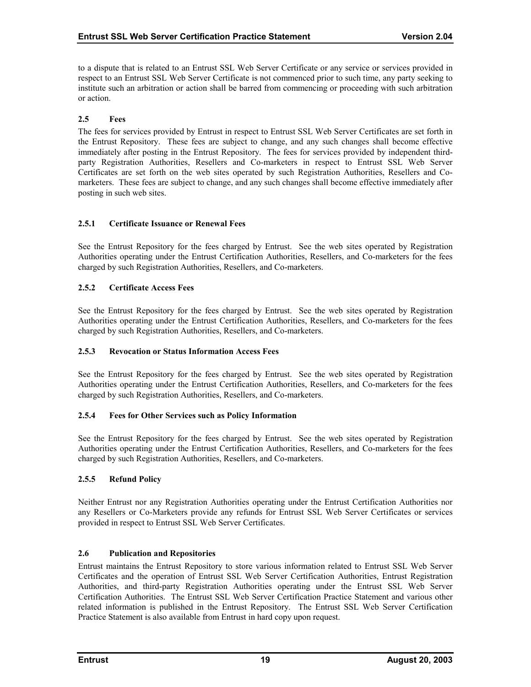<span id="page-23-0"></span>to a dispute that is related to an Entrust SSL Web Server Certificate or any service or services provided in respect to an Entrust SSL Web Server Certificate is not commenced prior to such time, any party seeking to institute such an arbitration or action shall be barred from commencing or proceeding with such arbitration or action.

# **2.5 Fees**

The fees for services provided by Entrust in respect to Entrust SSL Web Server Certificates are set forth in the Entrust Repository. These fees are subject to change, and any such changes shall become effective immediately after posting in the Entrust Repository. The fees for services provided by independent thirdparty Registration Authorities, Resellers and Co-marketers in respect to Entrust SSL Web Server Certificates are set forth on the web sites operated by such Registration Authorities, Resellers and Comarketers. These fees are subject to change, and any such changes shall become effective immediately after posting in such web sites.

# **2.5.1 Certificate Issuance or Renewal Fees**

See the Entrust Repository for the fees charged by Entrust. See the web sites operated by Registration Authorities operating under the Entrust Certification Authorities, Resellers, and Co-marketers for the fees charged by such Registration Authorities, Resellers, and Co-marketers.

# **2.5.2 Certificate Access Fees**

See the Entrust Repository for the fees charged by Entrust. See the web sites operated by Registration Authorities operating under the Entrust Certification Authorities, Resellers, and Co-marketers for the fees charged by such Registration Authorities, Resellers, and Co-marketers.

# **2.5.3 Revocation or Status Information Access Fees**

See the Entrust Repository for the fees charged by Entrust. See the web sites operated by Registration Authorities operating under the Entrust Certification Authorities, Resellers, and Co-marketers for the fees charged by such Registration Authorities, Resellers, and Co-marketers.

# **2.5.4 Fees for Other Services such as Policy Information**

See the Entrust Repository for the fees charged by Entrust. See the web sites operated by Registration Authorities operating under the Entrust Certification Authorities, Resellers, and Co-marketers for the fees charged by such Registration Authorities, Resellers, and Co-marketers.

# **2.5.5 Refund Policy**

Neither Entrust nor any Registration Authorities operating under the Entrust Certification Authorities nor any Resellers or Co-Marketers provide any refunds for Entrust SSL Web Server Certificates or services provided in respect to Entrust SSL Web Server Certificates.

# **2.6 Publication and Repositories**

Entrust maintains the Entrust Repository to store various information related to Entrust SSL Web Server Certificates and the operation of Entrust SSL Web Server Certification Authorities, Entrust Registration Authorities, and third-party Registration Authorities operating under the Entrust SSL Web Server Certification Authorities. The Entrust SSL Web Server Certification Practice Statement and various other related information is published in the Entrust Repository. The Entrust SSL Web Server Certification Practice Statement is also available from Entrust in hard copy upon request.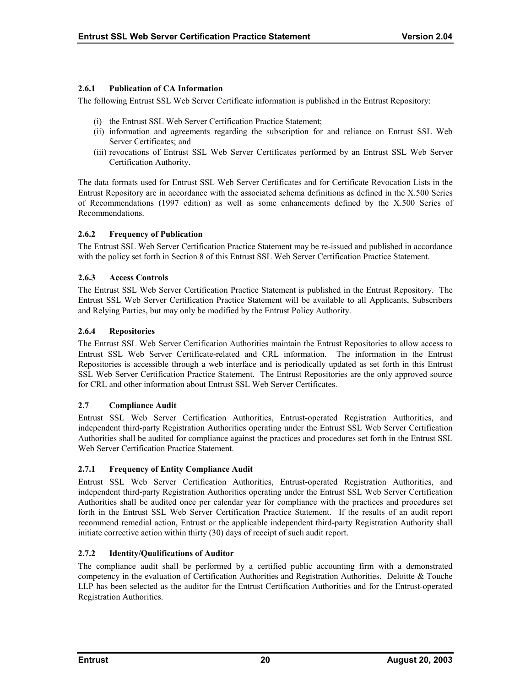# <span id="page-24-0"></span>**2.6.1 Publication of CA Information**

The following Entrust SSL Web Server Certificate information is published in the Entrust Repository:

- (i) the Entrust SSL Web Server Certification Practice Statement;
- (ii) information and agreements regarding the subscription for and reliance on Entrust SSL Web Server Certificates; and
- (iii) revocations of Entrust SSL Web Server Certificates performed by an Entrust SSL Web Server Certification Authority.

The data formats used for Entrust SSL Web Server Certificates and for Certificate Revocation Lists in the Entrust Repository are in accordance with the associated schema definitions as defined in the X.500 Series of Recommendations (1997 edition) as well as some enhancements defined by the X.500 Series of Recommendations.

# **2.6.2 Frequency of Publication**

The Entrust SSL Web Server Certification Practice Statement may be re-issued and published in accordance with the policy set forth in Section 8 of this Entrust SSL Web Server Certification Practice Statement.

# **2.6.3 Access Controls**

The Entrust SSL Web Server Certification Practice Statement is published in the Entrust Repository. The Entrust SSL Web Server Certification Practice Statement will be available to all Applicants, Subscribers and Relying Parties, but may only be modified by the Entrust Policy Authority.

# **2.6.4 Repositories**

The Entrust SSL Web Server Certification Authorities maintain the Entrust Repositories to allow access to Entrust SSL Web Server Certificate-related and CRL information. The information in the Entrust Repositories is accessible through a web interface and is periodically updated as set forth in this Entrust SSL Web Server Certification Practice Statement. The Entrust Repositories are the only approved source for CRL and other information about Entrust SSL Web Server Certificates.

# **2.7 Compliance Audit**

Entrust SSL Web Server Certification Authorities, Entrust-operated Registration Authorities, and independent third-party Registration Authorities operating under the Entrust SSL Web Server Certification Authorities shall be audited for compliance against the practices and procedures set forth in the Entrust SSL Web Server Certification Practice Statement.

# **2.7.1 Frequency of Entity Compliance Audit**

Entrust SSL Web Server Certification Authorities, Entrust-operated Registration Authorities, and independent third-party Registration Authorities operating under the Entrust SSL Web Server Certification Authorities shall be audited once per calendar year for compliance with the practices and procedures set forth in the Entrust SSL Web Server Certification Practice Statement. If the results of an audit report recommend remedial action, Entrust or the applicable independent third-party Registration Authority shall initiate corrective action within thirty (30) days of receipt of such audit report.

# **2.7.2 Identity/Qualifications of Auditor**

The compliance audit shall be performed by a certified public accounting firm with a demonstrated competency in the evaluation of Certification Authorities and Registration Authorities. Deloitte & Touche LLP has been selected as the auditor for the Entrust Certification Authorities and for the Entrust-operated Registration Authorities.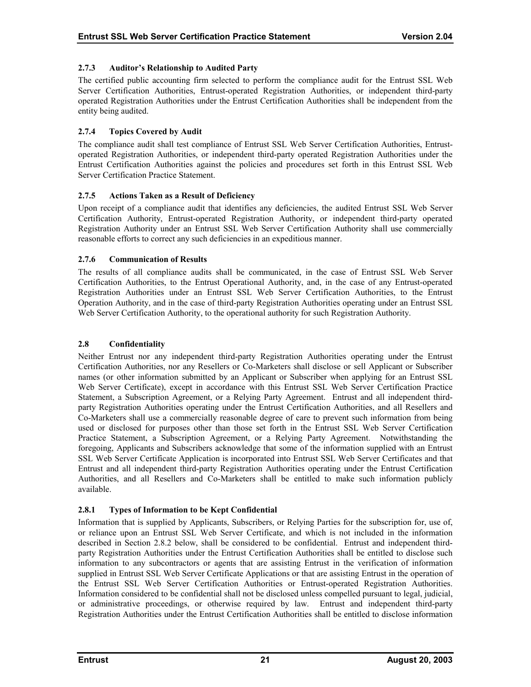# <span id="page-25-0"></span>**2.7.3 Auditor's Relationship to Audited Party**

The certified public accounting firm selected to perform the compliance audit for the Entrust SSL Web Server Certification Authorities, Entrust-operated Registration Authorities, or independent third-party operated Registration Authorities under the Entrust Certification Authorities shall be independent from the entity being audited.

# **2.7.4 Topics Covered by Audit**

The compliance audit shall test compliance of Entrust SSL Web Server Certification Authorities, Entrustoperated Registration Authorities, or independent third-party operated Registration Authorities under the Entrust Certification Authorities against the policies and procedures set forth in this Entrust SSL Web Server Certification Practice Statement.

# **2.7.5 Actions Taken as a Result of Deficiency**

Upon receipt of a compliance audit that identifies any deficiencies, the audited Entrust SSL Web Server Certification Authority, Entrust-operated Registration Authority, or independent third-party operated Registration Authority under an Entrust SSL Web Server Certification Authority shall use commercially reasonable efforts to correct any such deficiencies in an expeditious manner.

# **2.7.6 Communication of Results**

The results of all compliance audits shall be communicated, in the case of Entrust SSL Web Server Certification Authorities, to the Entrust Operational Authority, and, in the case of any Entrust-operated Registration Authorities under an Entrust SSL Web Server Certification Authorities, to the Entrust Operation Authority, and in the case of third-party Registration Authorities operating under an Entrust SSL Web Server Certification Authority, to the operational authority for such Registration Authority.

# **2.8 Confidentiality**

Neither Entrust nor any independent third-party Registration Authorities operating under the Entrust Certification Authorities, nor any Resellers or Co-Marketers shall disclose or sell Applicant or Subscriber names (or other information submitted by an Applicant or Subscriber when applying for an Entrust SSL Web Server Certificate), except in accordance with this Entrust SSL Web Server Certification Practice Statement, a Subscription Agreement, or a Relying Party Agreement. Entrust and all independent thirdparty Registration Authorities operating under the Entrust Certification Authorities, and all Resellers and Co-Marketers shall use a commercially reasonable degree of care to prevent such information from being used or disclosed for purposes other than those set forth in the Entrust SSL Web Server Certification Practice Statement, a Subscription Agreement, or a Relying Party Agreement. Notwithstanding the foregoing, Applicants and Subscribers acknowledge that some of the information supplied with an Entrust SSL Web Server Certificate Application is incorporated into Entrust SSL Web Server Certificates and that Entrust and all independent third-party Registration Authorities operating under the Entrust Certification Authorities, and all Resellers and Co-Marketers shall be entitled to make such information publicly available.

# **2.8.1 Types of Information to be Kept Confidential**

Information that is supplied by Applicants, Subscribers, or Relying Parties for the subscription for, use of, or reliance upon an Entrust SSL Web Server Certificate, and which is not included in the information described in Section 2.8.2 below, shall be considered to be confidential. Entrust and independent thirdparty Registration Authorities under the Entrust Certification Authorities shall be entitled to disclose such information to any subcontractors or agents that are assisting Entrust in the verification of information supplied in Entrust SSL Web Server Certificate Applications or that are assisting Entrust in the operation of the Entrust SSL Web Server Certification Authorities or Entrust-operated Registration Authorities. Information considered to be confidential shall not be disclosed unless compelled pursuant to legal, judicial, or administrative proceedings, or otherwise required by law. Entrust and independent third-party Registration Authorities under the Entrust Certification Authorities shall be entitled to disclose information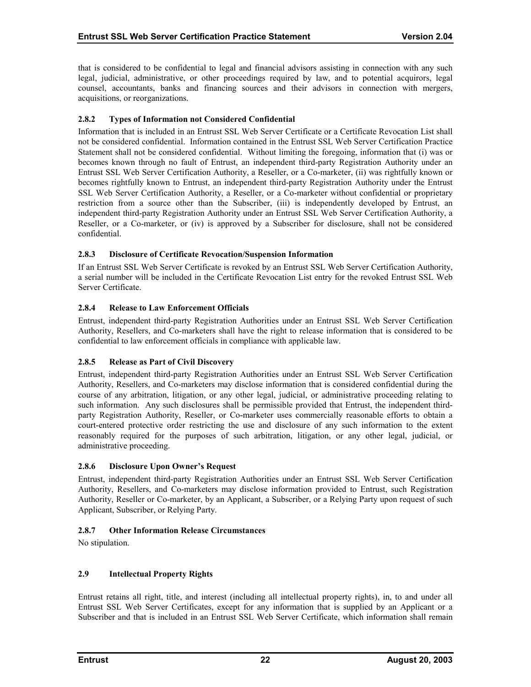<span id="page-26-0"></span>that is considered to be confidential to legal and financial advisors assisting in connection with any such legal, judicial, administrative, or other proceedings required by law, and to potential acquirors, legal counsel, accountants, banks and financing sources and their advisors in connection with mergers, acquisitions, or reorganizations.

#### **2.8.2 Types of Information not Considered Confidential**

Information that is included in an Entrust SSL Web Server Certificate or a Certificate Revocation List shall not be considered confidential. Information contained in the Entrust SSL Web Server Certification Practice Statement shall not be considered confidential. Without limiting the foregoing, information that (i) was or becomes known through no fault of Entrust, an independent third-party Registration Authority under an Entrust SSL Web Server Certification Authority, a Reseller, or a Co-marketer, (ii) was rightfully known or becomes rightfully known to Entrust, an independent third-party Registration Authority under the Entrust SSL Web Server Certification Authority, a Reseller, or a Co-marketer without confidential or proprietary restriction from a source other than the Subscriber, (iii) is independently developed by Entrust, an independent third-party Registration Authority under an Entrust SSL Web Server Certification Authority, a Reseller, or a Co-marketer, or (iv) is approved by a Subscriber for disclosure, shall not be considered confidential.

#### **2.8.3 Disclosure of Certificate Revocation/Suspension Information**

If an Entrust SSL Web Server Certificate is revoked by an Entrust SSL Web Server Certification Authority, a serial number will be included in the Certificate Revocation List entry for the revoked Entrust SSL Web Server Certificate.

# **2.8.4 Release to Law Enforcement Officials**

Entrust, independent third-party Registration Authorities under an Entrust SSL Web Server Certification Authority, Resellers, and Co-marketers shall have the right to release information that is considered to be confidential to law enforcement officials in compliance with applicable law.

# **2.8.5 Release as Part of Civil Discovery**

Entrust, independent third-party Registration Authorities under an Entrust SSL Web Server Certification Authority, Resellers, and Co-marketers may disclose information that is considered confidential during the course of any arbitration, litigation, or any other legal, judicial, or administrative proceeding relating to such information. Any such disclosures shall be permissible provided that Entrust, the independent thirdparty Registration Authority, Reseller, or Co-marketer uses commercially reasonable efforts to obtain a court-entered protective order restricting the use and disclosure of any such information to the extent reasonably required for the purposes of such arbitration, litigation, or any other legal, judicial, or administrative proceeding.

#### **2.8.6 Disclosure Upon Owner's Request**

Entrust, independent third-party Registration Authorities under an Entrust SSL Web Server Certification Authority, Resellers, and Co-marketers may disclose information provided to Entrust, such Registration Authority, Reseller or Co-marketer, by an Applicant, a Subscriber, or a Relying Party upon request of such Applicant, Subscriber, or Relying Party.

# **2.8.7 Other Information Release Circumstances**

No stipulation.

# **2.9 Intellectual Property Rights**

Entrust retains all right, title, and interest (including all intellectual property rights), in, to and under all Entrust SSL Web Server Certificates, except for any information that is supplied by an Applicant or a Subscriber and that is included in an Entrust SSL Web Server Certificate, which information shall remain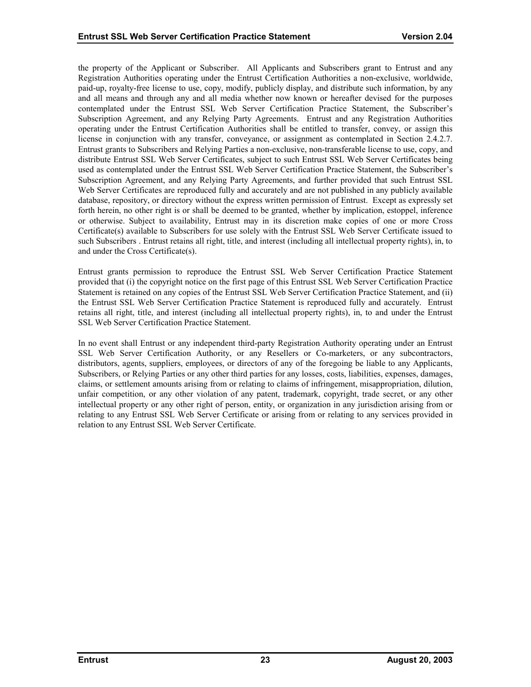the property of the Applicant or Subscriber. All Applicants and Subscribers grant to Entrust and any Registration Authorities operating under the Entrust Certification Authorities a non-exclusive, worldwide, paid-up, royalty-free license to use, copy, modify, publicly display, and distribute such information, by any and all means and through any and all media whether now known or hereafter devised for the purposes contemplated under the Entrust SSL Web Server Certification Practice Statement, the Subscriber's Subscription Agreement, and any Relying Party Agreements. Entrust and any Registration Authorities operating under the Entrust Certification Authorities shall be entitled to transfer, convey, or assign this license in conjunction with any transfer, conveyance, or assignment as contemplated in Section 2.4.2.7. Entrust grants to Subscribers and Relying Parties a non-exclusive, non-transferable license to use, copy, and distribute Entrust SSL Web Server Certificates, subject to such Entrust SSL Web Server Certificates being used as contemplated under the Entrust SSL Web Server Certification Practice Statement, the Subscriber's Subscription Agreement, and any Relying Party Agreements, and further provided that such Entrust SSL Web Server Certificates are reproduced fully and accurately and are not published in any publicly available database, repository, or directory without the express written permission of Entrust. Except as expressly set forth herein, no other right is or shall be deemed to be granted, whether by implication, estoppel, inference or otherwise. Subject to availability, Entrust may in its discretion make copies of one or more Cross Certificate(s) available to Subscribers for use solely with the Entrust SSL Web Server Certificate issued to such Subscribers . Entrust retains all right, title, and interest (including all intellectual property rights), in, to and under the Cross Certificate(s).

Entrust grants permission to reproduce the Entrust SSL Web Server Certification Practice Statement provided that (i) the copyright notice on the first page of this Entrust SSL Web Server Certification Practice Statement is retained on any copies of the Entrust SSL Web Server Certification Practice Statement, and (ii) the Entrust SSL Web Server Certification Practice Statement is reproduced fully and accurately. Entrust retains all right, title, and interest (including all intellectual property rights), in, to and under the Entrust SSL Web Server Certification Practice Statement.

In no event shall Entrust or any independent third-party Registration Authority operating under an Entrust SSL Web Server Certification Authority, or any Resellers or Co-marketers, or any subcontractors, distributors, agents, suppliers, employees, or directors of any of the foregoing be liable to any Applicants, Subscribers, or Relying Parties or any other third parties for any losses, costs, liabilities, expenses, damages, claims, or settlement amounts arising from or relating to claims of infringement, misappropriation, dilution, unfair competition, or any other violation of any patent, trademark, copyright, trade secret, or any other intellectual property or any other right of person, entity, or organization in any jurisdiction arising from or relating to any Entrust SSL Web Server Certificate or arising from or relating to any services provided in relation to any Entrust SSL Web Server Certificate.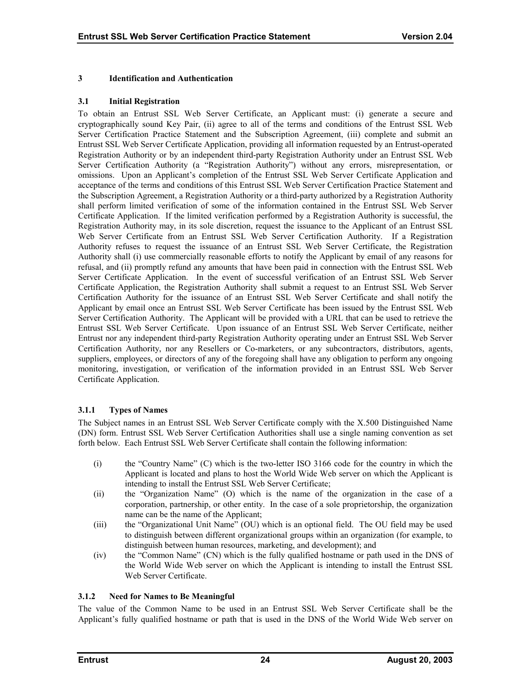# <span id="page-28-0"></span>**3 Identification and Authentication**

#### **3.1 Initial Registration**

To obtain an Entrust SSL Web Server Certificate, an Applicant must: (i) generate a secure and cryptographically sound Key Pair, (ii) agree to all of the terms and conditions of the Entrust SSL Web Server Certification Practice Statement and the Subscription Agreement, (iii) complete and submit an Entrust SSL Web Server Certificate Application, providing all information requested by an Entrust-operated Registration Authority or by an independent third-party Registration Authority under an Entrust SSL Web Server Certification Authority (a "Registration Authority") without any errors, misrepresentation, or omissions. Upon an Applicant's completion of the Entrust SSL Web Server Certificate Application and acceptance of the terms and conditions of this Entrust SSL Web Server Certification Practice Statement and the Subscription Agreement, a Registration Authority or a third-party authorized by a Registration Authority shall perform limited verification of some of the information contained in the Entrust SSL Web Server Certificate Application. If the limited verification performed by a Registration Authority is successful, the Registration Authority may, in its sole discretion, request the issuance to the Applicant of an Entrust SSL Web Server Certificate from an Entrust SSL Web Server Certification Authority. If a Registration Authority refuses to request the issuance of an Entrust SSL Web Server Certificate, the Registration Authority shall (i) use commercially reasonable efforts to notify the Applicant by email of any reasons for refusal, and (ii) promptly refund any amounts that have been paid in connection with the Entrust SSL Web Server Certificate Application. In the event of successful verification of an Entrust SSL Web Server Certificate Application, the Registration Authority shall submit a request to an Entrust SSL Web Server Certification Authority for the issuance of an Entrust SSL Web Server Certificate and shall notify the Applicant by email once an Entrust SSL Web Server Certificate has been issued by the Entrust SSL Web Server Certification Authority. The Applicant will be provided with a URL that can be used to retrieve the Entrust SSL Web Server Certificate. Upon issuance of an Entrust SSL Web Server Certificate, neither Entrust nor any independent third-party Registration Authority operating under an Entrust SSL Web Server Certification Authority, nor any Resellers or Co-marketers, or any subcontractors, distributors, agents, suppliers, employees, or directors of any of the foregoing shall have any obligation to perform any ongoing monitoring, investigation, or verification of the information provided in an Entrust SSL Web Server Certificate Application.

# **3.1.1 Types of Names**

The Subject names in an Entrust SSL Web Server Certificate comply with the X.500 Distinguished Name (DN) form. Entrust SSL Web Server Certification Authorities shall use a single naming convention as set forth below. Each Entrust SSL Web Server Certificate shall contain the following information:

- (i) the "Country Name" (C) which is the two-letter ISO 3166 code for the country in which the Applicant is located and plans to host the World Wide Web server on which the Applicant is intending to install the Entrust SSL Web Server Certificate;
- (ii) the "Organization Name" (O) which is the name of the organization in the case of a corporation, partnership, or other entity. In the case of a sole proprietorship, the organization name can be the name of the Applicant;
- (iii) the "Organizational Unit Name" (OU) which is an optional field. The OU field may be used to distinguish between different organizational groups within an organization (for example, to distinguish between human resources, marketing, and development); and
- (iv) the "Common Name" (CN) which is the fully qualified hostname or path used in the DNS of the World Wide Web server on which the Applicant is intending to install the Entrust SSL Web Server Certificate.

# **3.1.2 Need for Names to Be Meaningful**

The value of the Common Name to be used in an Entrust SSL Web Server Certificate shall be the Applicant's fully qualified hostname or path that is used in the DNS of the World Wide Web server on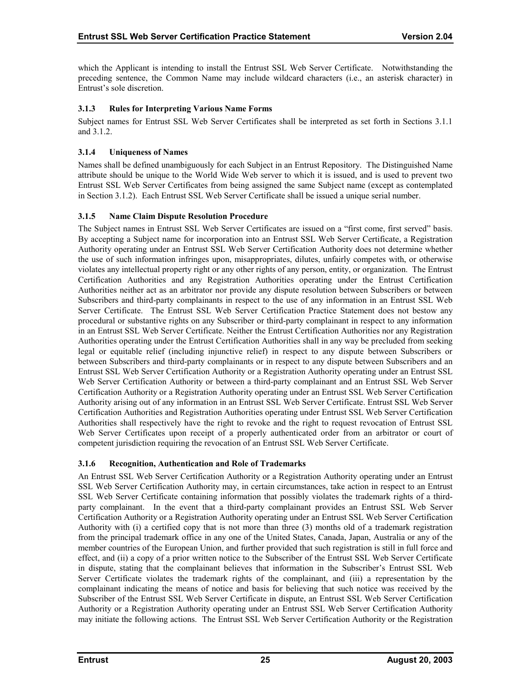<span id="page-29-0"></span>which the Applicant is intending to install the Entrust SSL Web Server Certificate. Notwithstanding the preceding sentence, the Common Name may include wildcard characters (i.e., an asterisk character) in Entrust's sole discretion.

# **3.1.3 Rules for Interpreting Various Name Forms**

Subject names for Entrust SSL Web Server Certificates shall be interpreted as set forth in Sections 3.1.1 and 3.1.2.

# **3.1.4 Uniqueness of Names**

Names shall be defined unambiguously for each Subject in an Entrust Repository. The Distinguished Name attribute should be unique to the World Wide Web server to which it is issued, and is used to prevent two Entrust SSL Web Server Certificates from being assigned the same Subject name (except as contemplated in Section 3.1.2). Each Entrust SSL Web Server Certificate shall be issued a unique serial number.

# **3.1.5 Name Claim Dispute Resolution Procedure**

The Subject names in Entrust SSL Web Server Certificates are issued on a "first come, first served" basis. By accepting a Subject name for incorporation into an Entrust SSL Web Server Certificate, a Registration Authority operating under an Entrust SSL Web Server Certification Authority does not determine whether the use of such information infringes upon, misappropriates, dilutes, unfairly competes with, or otherwise violates any intellectual property right or any other rights of any person, entity, or organization. The Entrust Certification Authorities and any Registration Authorities operating under the Entrust Certification Authorities neither act as an arbitrator nor provide any dispute resolution between Subscribers or between Subscribers and third-party complainants in respect to the use of any information in an Entrust SSL Web Server Certificate. The Entrust SSL Web Server Certification Practice Statement does not bestow any procedural or substantive rights on any Subscriber or third-party complainant in respect to any information in an Entrust SSL Web Server Certificate. Neither the Entrust Certification Authorities nor any Registration Authorities operating under the Entrust Certification Authorities shall in any way be precluded from seeking legal or equitable relief (including injunctive relief) in respect to any dispute between Subscribers or between Subscribers and third-party complainants or in respect to any dispute between Subscribers and an Entrust SSL Web Server Certification Authority or a Registration Authority operating under an Entrust SSL Web Server Certification Authority or between a third-party complainant and an Entrust SSL Web Server Certification Authority or a Registration Authority operating under an Entrust SSL Web Server Certification Authority arising out of any information in an Entrust SSL Web Server Certificate. Entrust SSL Web Server Certification Authorities and Registration Authorities operating under Entrust SSL Web Server Certification Authorities shall respectively have the right to revoke and the right to request revocation of Entrust SSL Web Server Certificates upon receipt of a properly authenticated order from an arbitrator or court of competent jurisdiction requiring the revocation of an Entrust SSL Web Server Certificate.

# **3.1.6 Recognition, Authentication and Role of Trademarks**

An Entrust SSL Web Server Certification Authority or a Registration Authority operating under an Entrust SSL Web Server Certification Authority may, in certain circumstances, take action in respect to an Entrust SSL Web Server Certificate containing information that possibly violates the trademark rights of a thirdparty complainant. In the event that a third-party complainant provides an Entrust SSL Web Server Certification Authority or a Registration Authority operating under an Entrust SSL Web Server Certification Authority with (i) a certified copy that is not more than three (3) months old of a trademark registration from the principal trademark office in any one of the United States, Canada, Japan, Australia or any of the member countries of the European Union, and further provided that such registration is still in full force and effect, and (ii) a copy of a prior written notice to the Subscriber of the Entrust SSL Web Server Certificate in dispute, stating that the complainant believes that information in the Subscriber's Entrust SSL Web Server Certificate violates the trademark rights of the complainant, and (iii) a representation by the complainant indicating the means of notice and basis for believing that such notice was received by the Subscriber of the Entrust SSL Web Server Certificate in dispute, an Entrust SSL Web Server Certification Authority or a Registration Authority operating under an Entrust SSL Web Server Certification Authority may initiate the following actions. The Entrust SSL Web Server Certification Authority or the Registration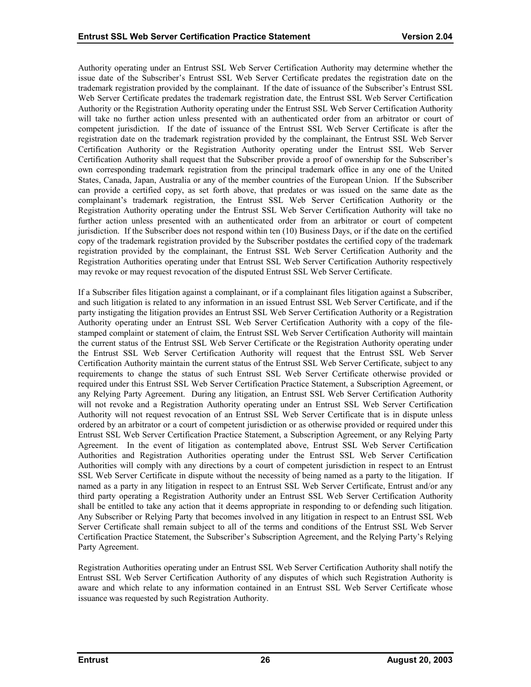Authority operating under an Entrust SSL Web Server Certification Authority may determine whether the issue date of the Subscriber's Entrust SSL Web Server Certificate predates the registration date on the trademark registration provided by the complainant. If the date of issuance of the Subscriber's Entrust SSL Web Server Certificate predates the trademark registration date, the Entrust SSL Web Server Certification Authority or the Registration Authority operating under the Entrust SSL Web Server Certification Authority will take no further action unless presented with an authenticated order from an arbitrator or court of competent jurisdiction. If the date of issuance of the Entrust SSL Web Server Certificate is after the registration date on the trademark registration provided by the complainant, the Entrust SSL Web Server Certification Authority or the Registration Authority operating under the Entrust SSL Web Server Certification Authority shall request that the Subscriber provide a proof of ownership for the Subscriber's own corresponding trademark registration from the principal trademark office in any one of the United States, Canada, Japan, Australia or any of the member countries of the European Union. If the Subscriber can provide a certified copy, as set forth above, that predates or was issued on the same date as the complainant's trademark registration, the Entrust SSL Web Server Certification Authority or the Registration Authority operating under the Entrust SSL Web Server Certification Authority will take no further action unless presented with an authenticated order from an arbitrator or court of competent jurisdiction. If the Subscriber does not respond within ten (10) Business Days, or if the date on the certified copy of the trademark registration provided by the Subscriber postdates the certified copy of the trademark registration provided by the complainant, the Entrust SSL Web Server Certification Authority and the Registration Authorities operating under that Entrust SSL Web Server Certification Authority respectively may revoke or may request revocation of the disputed Entrust SSL Web Server Certificate.

If a Subscriber files litigation against a complainant, or if a complainant files litigation against a Subscriber, and such litigation is related to any information in an issued Entrust SSL Web Server Certificate, and if the party instigating the litigation provides an Entrust SSL Web Server Certification Authority or a Registration Authority operating under an Entrust SSL Web Server Certification Authority with a copy of the filestamped complaint or statement of claim, the Entrust SSL Web Server Certification Authority will maintain the current status of the Entrust SSL Web Server Certificate or the Registration Authority operating under the Entrust SSL Web Server Certification Authority will request that the Entrust SSL Web Server Certification Authority maintain the current status of the Entrust SSL Web Server Certificate, subject to any requirements to change the status of such Entrust SSL Web Server Certificate otherwise provided or required under this Entrust SSL Web Server Certification Practice Statement, a Subscription Agreement, or any Relying Party Agreement. During any litigation, an Entrust SSL Web Server Certification Authority will not revoke and a Registration Authority operating under an Entrust SSL Web Server Certification Authority will not request revocation of an Entrust SSL Web Server Certificate that is in dispute unless ordered by an arbitrator or a court of competent jurisdiction or as otherwise provided or required under this Entrust SSL Web Server Certification Practice Statement, a Subscription Agreement, or any Relying Party Agreement. In the event of litigation as contemplated above, Entrust SSL Web Server Certification Authorities and Registration Authorities operating under the Entrust SSL Web Server Certification Authorities will comply with any directions by a court of competent jurisdiction in respect to an Entrust SSL Web Server Certificate in dispute without the necessity of being named as a party to the litigation. If named as a party in any litigation in respect to an Entrust SSL Web Server Certificate, Entrust and/or any third party operating a Registration Authority under an Entrust SSL Web Server Certification Authority shall be entitled to take any action that it deems appropriate in responding to or defending such litigation. Any Subscriber or Relying Party that becomes involved in any litigation in respect to an Entrust SSL Web Server Certificate shall remain subject to all of the terms and conditions of the Entrust SSL Web Server Certification Practice Statement, the Subscriber's Subscription Agreement, and the Relying Party's Relying Party Agreement.

Registration Authorities operating under an Entrust SSL Web Server Certification Authority shall notify the Entrust SSL Web Server Certification Authority of any disputes of which such Registration Authority is aware and which relate to any information contained in an Entrust SSL Web Server Certificate whose issuance was requested by such Registration Authority.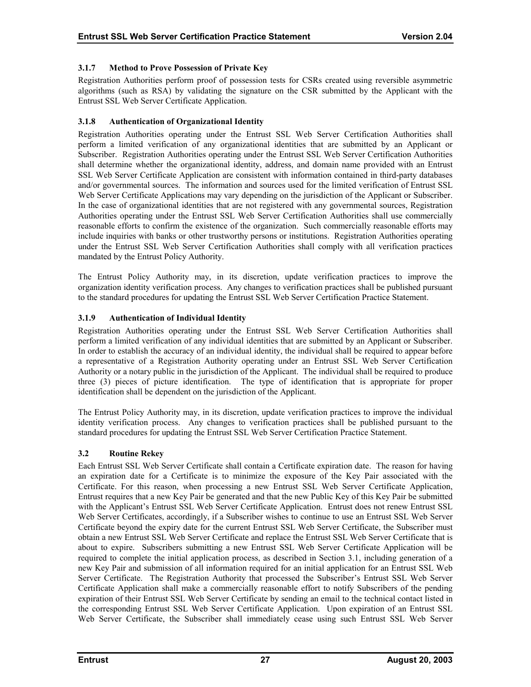# <span id="page-31-0"></span>**3.1.7 Method to Prove Possession of Private Key**

Registration Authorities perform proof of possession tests for CSRs created using reversible asymmetric algorithms (such as RSA) by validating the signature on the CSR submitted by the Applicant with the Entrust SSL Web Server Certificate Application.

# **3.1.8 Authentication of Organizational Identity**

Registration Authorities operating under the Entrust SSL Web Server Certification Authorities shall perform a limited verification of any organizational identities that are submitted by an Applicant or Subscriber. Registration Authorities operating under the Entrust SSL Web Server Certification Authorities shall determine whether the organizational identity, address, and domain name provided with an Entrust SSL Web Server Certificate Application are consistent with information contained in third-party databases and/or governmental sources. The information and sources used for the limited verification of Entrust SSL Web Server Certificate Applications may vary depending on the jurisdiction of the Applicant or Subscriber. In the case of organizational identities that are not registered with any governmental sources, Registration Authorities operating under the Entrust SSL Web Server Certification Authorities shall use commercially reasonable efforts to confirm the existence of the organization. Such commercially reasonable efforts may include inquiries with banks or other trustworthy persons or institutions. Registration Authorities operating under the Entrust SSL Web Server Certification Authorities shall comply with all verification practices mandated by the Entrust Policy Authority.

The Entrust Policy Authority may, in its discretion, update verification practices to improve the organization identity verification process. Any changes to verification practices shall be published pursuant to the standard procedures for updating the Entrust SSL Web Server Certification Practice Statement.

# **3.1.9 Authentication of Individual Identity**

Registration Authorities operating under the Entrust SSL Web Server Certification Authorities shall perform a limited verification of any individual identities that are submitted by an Applicant or Subscriber. In order to establish the accuracy of an individual identity, the individual shall be required to appear before a representative of a Registration Authority operating under an Entrust SSL Web Server Certification Authority or a notary public in the jurisdiction of the Applicant. The individual shall be required to produce three (3) pieces of picture identification. The type of identification that is appropriate for proper identification shall be dependent on the jurisdiction of the Applicant.

The Entrust Policy Authority may, in its discretion, update verification practices to improve the individual identity verification process. Any changes to verification practices shall be published pursuant to the standard procedures for updating the Entrust SSL Web Server Certification Practice Statement.

# **3.2 Routine Rekey**

Each Entrust SSL Web Server Certificate shall contain a Certificate expiration date. The reason for having an expiration date for a Certificate is to minimize the exposure of the Key Pair associated with the Certificate. For this reason, when processing a new Entrust SSL Web Server Certificate Application, Entrust requires that a new Key Pair be generated and that the new Public Key of this Key Pair be submitted with the Applicant's Entrust SSL Web Server Certificate Application. Entrust does not renew Entrust SSL Web Server Certificates, accordingly, if a Subscriber wishes to continue to use an Entrust SSL Web Server Certificate beyond the expiry date for the current Entrust SSL Web Server Certificate, the Subscriber must obtain a new Entrust SSL Web Server Certificate and replace the Entrust SSL Web Server Certificate that is about to expire. Subscribers submitting a new Entrust SSL Web Server Certificate Application will be required to complete the initial application process, as described in Section 3.1, including generation of a new Key Pair and submission of all information required for an initial application for an Entrust SSL Web Server Certificate. The Registration Authority that processed the Subscriber's Entrust SSL Web Server Certificate Application shall make a commercially reasonable effort to notify Subscribers of the pending expiration of their Entrust SSL Web Server Certificate by sending an email to the technical contact listed in the corresponding Entrust SSL Web Server Certificate Application. Upon expiration of an Entrust SSL Web Server Certificate, the Subscriber shall immediately cease using such Entrust SSL Web Server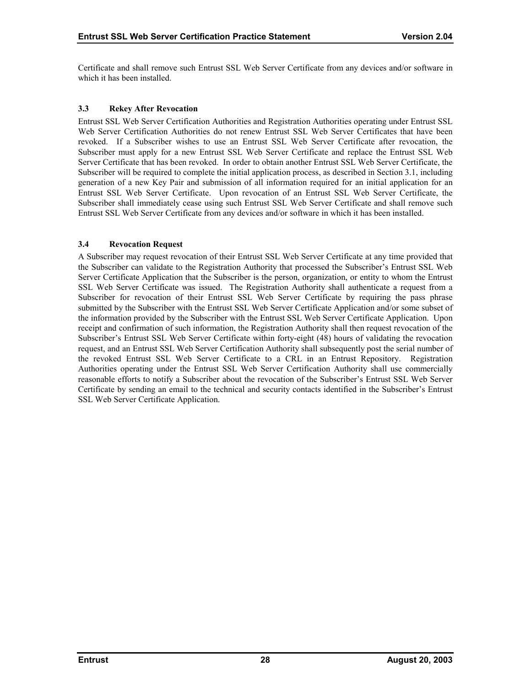<span id="page-32-0"></span>Certificate and shall remove such Entrust SSL Web Server Certificate from any devices and/or software in which it has been installed.

# **3.3 Rekey After Revocation**

Entrust SSL Web Server Certification Authorities and Registration Authorities operating under Entrust SSL Web Server Certification Authorities do not renew Entrust SSL Web Server Certificates that have been revoked. If a Subscriber wishes to use an Entrust SSL Web Server Certificate after revocation, the Subscriber must apply for a new Entrust SSL Web Server Certificate and replace the Entrust SSL Web Server Certificate that has been revoked. In order to obtain another Entrust SSL Web Server Certificate, the Subscriber will be required to complete the initial application process, as described in Section 3.1, including generation of a new Key Pair and submission of all information required for an initial application for an Entrust SSL Web Server Certificate. Upon revocation of an Entrust SSL Web Server Certificate, the Subscriber shall immediately cease using such Entrust SSL Web Server Certificate and shall remove such Entrust SSL Web Server Certificate from any devices and/or software in which it has been installed.

# **3.4 Revocation Request**

A Subscriber may request revocation of their Entrust SSL Web Server Certificate at any time provided that the Subscriber can validate to the Registration Authority that processed the Subscriber's Entrust SSL Web Server Certificate Application that the Subscriber is the person, organization, or entity to whom the Entrust SSL Web Server Certificate was issued. The Registration Authority shall authenticate a request from a Subscriber for revocation of their Entrust SSL Web Server Certificate by requiring the pass phrase submitted by the Subscriber with the Entrust SSL Web Server Certificate Application and/or some subset of the information provided by the Subscriber with the Entrust SSL Web Server Certificate Application. Upon receipt and confirmation of such information, the Registration Authority shall then request revocation of the Subscriber's Entrust SSL Web Server Certificate within forty-eight (48) hours of validating the revocation request, and an Entrust SSL Web Server Certification Authority shall subsequently post the serial number of the revoked Entrust SSL Web Server Certificate to a CRL in an Entrust Repository. Registration Authorities operating under the Entrust SSL Web Server Certification Authority shall use commercially reasonable efforts to notify a Subscriber about the revocation of the Subscriber's Entrust SSL Web Server Certificate by sending an email to the technical and security contacts identified in the Subscriber's Entrust SSL Web Server Certificate Application.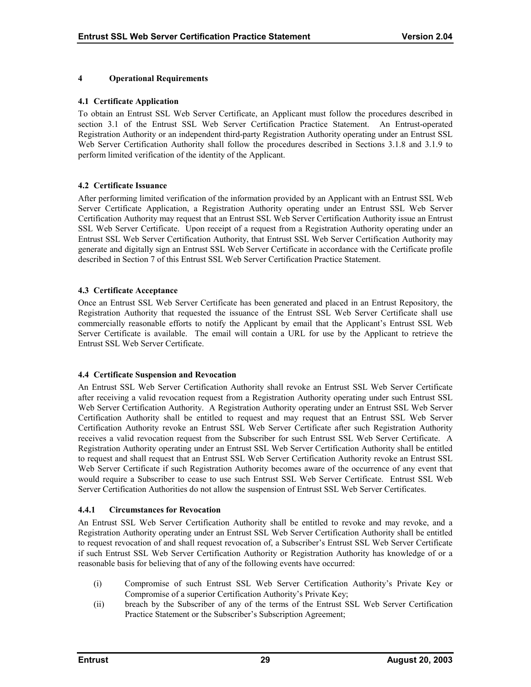#### <span id="page-33-0"></span>**4 Operational Requirements**

#### **4.1 Certificate Application**

To obtain an Entrust SSL Web Server Certificate, an Applicant must follow the procedures described in section 3.1 of the Entrust SSL Web Server Certification Practice Statement. An Entrust-operated Registration Authority or an independent third-party Registration Authority operating under an Entrust SSL Web Server Certification Authority shall follow the procedures described in Sections 3.1.8 and 3.1.9 to perform limited verification of the identity of the Applicant.

# **4.2 Certificate Issuance**

After performing limited verification of the information provided by an Applicant with an Entrust SSL Web Server Certificate Application, a Registration Authority operating under an Entrust SSL Web Server Certification Authority may request that an Entrust SSL Web Server Certification Authority issue an Entrust SSL Web Server Certificate. Upon receipt of a request from a Registration Authority operating under an Entrust SSL Web Server Certification Authority, that Entrust SSL Web Server Certification Authority may generate and digitally sign an Entrust SSL Web Server Certificate in accordance with the Certificate profile described in Section 7 of this Entrust SSL Web Server Certification Practice Statement.

#### **4.3 Certificate Acceptance**

Once an Entrust SSL Web Server Certificate has been generated and placed in an Entrust Repository, the Registration Authority that requested the issuance of the Entrust SSL Web Server Certificate shall use commercially reasonable efforts to notify the Applicant by email that the Applicant's Entrust SSL Web Server Certificate is available. The email will contain a URL for use by the Applicant to retrieve the Entrust SSL Web Server Certificate.

#### **4.4 Certificate Suspension and Revocation**

An Entrust SSL Web Server Certification Authority shall revoke an Entrust SSL Web Server Certificate after receiving a valid revocation request from a Registration Authority operating under such Entrust SSL Web Server Certification Authority. A Registration Authority operating under an Entrust SSL Web Server Certification Authority shall be entitled to request and may request that an Entrust SSL Web Server Certification Authority revoke an Entrust SSL Web Server Certificate after such Registration Authority receives a valid revocation request from the Subscriber for such Entrust SSL Web Server Certificate. A Registration Authority operating under an Entrust SSL Web Server Certification Authority shall be entitled to request and shall request that an Entrust SSL Web Server Certification Authority revoke an Entrust SSL Web Server Certificate if such Registration Authority becomes aware of the occurrence of any event that would require a Subscriber to cease to use such Entrust SSL Web Server Certificate. Entrust SSL Web Server Certification Authorities do not allow the suspension of Entrust SSL Web Server Certificates.

#### **4.4.1 Circumstances for Revocation**

An Entrust SSL Web Server Certification Authority shall be entitled to revoke and may revoke, and a Registration Authority operating under an Entrust SSL Web Server Certification Authority shall be entitled to request revocation of and shall request revocation of, a Subscriber's Entrust SSL Web Server Certificate if such Entrust SSL Web Server Certification Authority or Registration Authority has knowledge of or a reasonable basis for believing that of any of the following events have occurred:

- (i) Compromise of such Entrust SSL Web Server Certification Authority's Private Key or Compromise of a superior Certification Authority's Private Key;
- (ii) breach by the Subscriber of any of the terms of the Entrust SSL Web Server Certification Practice Statement or the Subscriber's Subscription Agreement;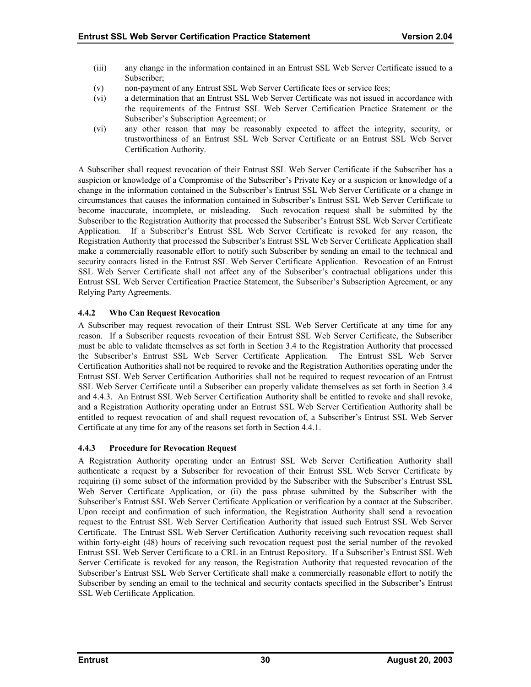- <span id="page-34-0"></span>(iii) any change in the information contained in an Entrust SSL Web Server Certificate issued to a Subscriber;
- (v) non-payment of any Entrust SSL Web Server Certificate fees or service fees;
- (vi) a determination that an Entrust SSL Web Server Certificate was not issued in accordance with the requirements of the Entrust SSL Web Server Certification Practice Statement or the Subscriber's Subscription Agreement; or
- (vi) any other reason that may be reasonably expected to affect the integrity, security, or trustworthiness of an Entrust SSL Web Server Certificate or an Entrust SSL Web Server Certification Authority.

A Subscriber shall request revocation of their Entrust SSL Web Server Certificate if the Subscriber has a suspicion or knowledge of a Compromise of the Subscriber's Private Key or a suspicion or knowledge of a change in the information contained in the Subscriber's Entrust SSL Web Server Certificate or a change in circumstances that causes the information contained in Subscriber's Entrust SSL Web Server Certificate to become inaccurate, incomplete, or misleading. Such revocation request shall be submitted by the Subscriber to the Registration Authority that processed the Subscriber's Entrust SSL Web Server Certificate Application. If a Subscriber's Entrust SSL Web Server Certificate is revoked for any reason, the Registration Authority that processed the Subscriber's Entrust SSL Web Server Certificate Application shall make a commercially reasonable effort to notify such Subscriber by sending an email to the technical and security contacts listed in the Entrust SSL Web Server Certificate Application. Revocation of an Entrust SSL Web Server Certificate shall not affect any of the Subscriber's contractual obligations under this Entrust SSL Web Server Certification Practice Statement, the Subscriber's Subscription Agreement, or any Relying Party Agreements.

# **4.4.2 Who Can Request Revocation**

A Subscriber may request revocation of their Entrust SSL Web Server Certificate at any time for any reason. If a Subscriber requests revocation of their Entrust SSL Web Server Certificate, the Subscriber must be able to validate themselves as set forth in Section 3.4 to the Registration Authority that processed the Subscriber's Entrust SSL Web Server Certificate Application. The Entrust SSL Web Server Certification Authorities shall not be required to revoke and the Registration Authorities operating under the Entrust SSL Web Server Certification Authorities shall not be required to request revocation of an Entrust SSL Web Server Certificate until a Subscriber can properly validate themselves as set forth in Section 3.4 and 4.4.3. An Entrust SSL Web Server Certification Authority shall be entitled to revoke and shall revoke, and a Registration Authority operating under an Entrust SSL Web Server Certification Authority shall be entitled to request revocation of and shall request revocation of, a Subscriber's Entrust SSL Web Server Certificate at any time for any of the reasons set forth in Section 4.4.1.

# **4.4.3 Procedure for Revocation Request**

A Registration Authority operating under an Entrust SSL Web Server Certification Authority shall authenticate a request by a Subscriber for revocation of their Entrust SSL Web Server Certificate by requiring (i) some subset of the information provided by the Subscriber with the Subscriber's Entrust SSL Web Server Certificate Application, or (ii) the pass phrase submitted by the Subscriber with the Subscriber's Entrust SSL Web Server Certificate Application or verification by a contact at the Subscriber. Upon receipt and confirmation of such information, the Registration Authority shall send a revocation request to the Entrust SSL Web Server Certification Authority that issued such Entrust SSL Web Server Certificate. The Entrust SSL Web Server Certification Authority receiving such revocation request shall within forty-eight (48) hours of receiving such revocation request post the serial number of the revoked Entrust SSL Web Server Certificate to a CRL in an Entrust Repository. If a Subscriber's Entrust SSL Web Server Certificate is revoked for any reason, the Registration Authority that requested revocation of the Subscriber's Entrust SSL Web Server Certificate shall make a commercially reasonable effort to notify the Subscriber by sending an email to the technical and security contacts specified in the Subscriber's Entrust SSL Web Certificate Application.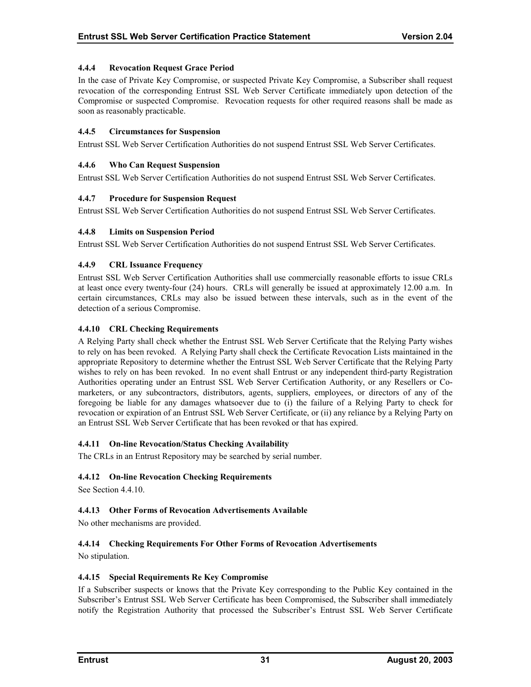# <span id="page-35-0"></span>**4.4.4 Revocation Request Grace Period**

In the case of Private Key Compromise, or suspected Private Key Compromise, a Subscriber shall request revocation of the corresponding Entrust SSL Web Server Certificate immediately upon detection of the Compromise or suspected Compromise. Revocation requests for other required reasons shall be made as soon as reasonably practicable.

#### **4.4.5 Circumstances for Suspension**

Entrust SSL Web Server Certification Authorities do not suspend Entrust SSL Web Server Certificates.

#### **4.4.6 Who Can Request Suspension**

Entrust SSL Web Server Certification Authorities do not suspend Entrust SSL Web Server Certificates.

#### **4.4.7 Procedure for Suspension Request**

Entrust SSL Web Server Certification Authorities do not suspend Entrust SSL Web Server Certificates.

#### **4.4.8 Limits on Suspension Period**

Entrust SSL Web Server Certification Authorities do not suspend Entrust SSL Web Server Certificates.

#### **4.4.9 CRL Issuance Frequency**

Entrust SSL Web Server Certification Authorities shall use commercially reasonable efforts to issue CRLs at least once every twenty-four (24) hours. CRLs will generally be issued at approximately 12.00 a.m. In certain circumstances, CRLs may also be issued between these intervals, such as in the event of the detection of a serious Compromise.

#### **4.4.10 CRL Checking Requirements**

A Relying Party shall check whether the Entrust SSL Web Server Certificate that the Relying Party wishes to rely on has been revoked. A Relying Party shall check the Certificate Revocation Lists maintained in the appropriate Repository to determine whether the Entrust SSL Web Server Certificate that the Relying Party wishes to rely on has been revoked. In no event shall Entrust or any independent third-party Registration Authorities operating under an Entrust SSL Web Server Certification Authority, or any Resellers or Comarketers, or any subcontractors, distributors, agents, suppliers, employees, or directors of any of the foregoing be liable for any damages whatsoever due to (i) the failure of a Relying Party to check for revocation or expiration of an Entrust SSL Web Server Certificate, or (ii) any reliance by a Relying Party on an Entrust SSL Web Server Certificate that has been revoked or that has expired.

# **4.4.11 On-line Revocation/Status Checking Availability**

The CRLs in an Entrust Repository may be searched by serial number.

# **4.4.12 On-line Revocation Checking Requirements**

See Section 4.4.10.

# **4.4.13 Other Forms of Revocation Advertisements Available**

No other mechanisms are provided.

# **4.4.14 Checking Requirements For Other Forms of Revocation Advertisements**

No stipulation.

#### **4.4.15 Special Requirements Re Key Compromise**

If a Subscriber suspects or knows that the Private Key corresponding to the Public Key contained in the Subscriber's Entrust SSL Web Server Certificate has been Compromised, the Subscriber shall immediately notify the Registration Authority that processed the Subscriber's Entrust SSL Web Server Certificate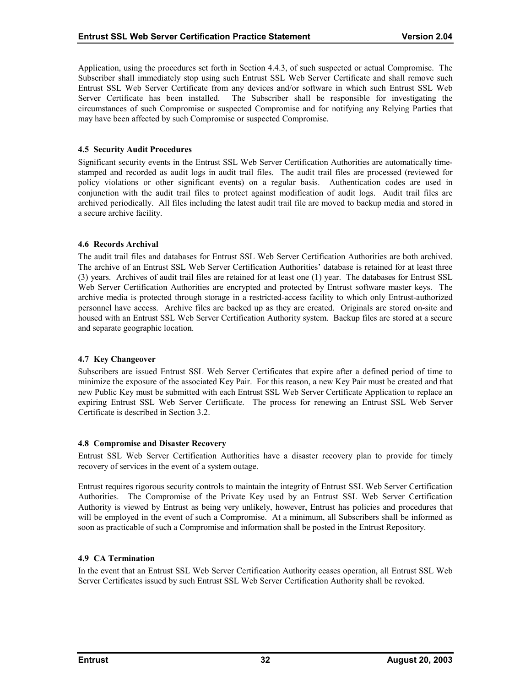<span id="page-36-0"></span>Application, using the procedures set forth in Section 4.4.3, of such suspected or actual Compromise. The Subscriber shall immediately stop using such Entrust SSL Web Server Certificate and shall remove such Entrust SSL Web Server Certificate from any devices and/or software in which such Entrust SSL Web Server Certificate has been installed. The Subscriber shall be responsible for investigating the circumstances of such Compromise or suspected Compromise and for notifying any Relying Parties that may have been affected by such Compromise or suspected Compromise.

#### **4.5 Security Audit Procedures**

Significant security events in the Entrust SSL Web Server Certification Authorities are automatically timestamped and recorded as audit logs in audit trail files. The audit trail files are processed (reviewed for policy violations or other significant events) on a regular basis. Authentication codes are used in conjunction with the audit trail files to protect against modification of audit logs. Audit trail files are archived periodically. All files including the latest audit trail file are moved to backup media and stored in a secure archive facility.

#### **4.6 Records Archival**

The audit trail files and databases for Entrust SSL Web Server Certification Authorities are both archived. The archive of an Entrust SSL Web Server Certification Authorities' database is retained for at least three (3) years. Archives of audit trail files are retained for at least one (1) year. The databases for Entrust SSL Web Server Certification Authorities are encrypted and protected by Entrust software master keys. The archive media is protected through storage in a restricted-access facility to which only Entrust-authorized personnel have access. Archive files are backed up as they are created. Originals are stored on-site and housed with an Entrust SSL Web Server Certification Authority system. Backup files are stored at a secure and separate geographic location.

#### **4.7 Key Changeover**

Subscribers are issued Entrust SSL Web Server Certificates that expire after a defined period of time to minimize the exposure of the associated Key Pair. For this reason, a new Key Pair must be created and that new Public Key must be submitted with each Entrust SSL Web Server Certificate Application to replace an expiring Entrust SSL Web Server Certificate. The process for renewing an Entrust SSL Web Server Certificate is described in Section 3.2.

#### **4.8 Compromise and Disaster Recovery**

Entrust SSL Web Server Certification Authorities have a disaster recovery plan to provide for timely recovery of services in the event of a system outage.

Entrust requires rigorous security controls to maintain the integrity of Entrust SSL Web Server Certification Authorities. The Compromise of the Private Key used by an Entrust SSL Web Server Certification Authority is viewed by Entrust as being very unlikely, however, Entrust has policies and procedures that will be employed in the event of such a Compromise. At a minimum, all Subscribers shall be informed as soon as practicable of such a Compromise and information shall be posted in the Entrust Repository.

# **4.9 CA Termination**

In the event that an Entrust SSL Web Server Certification Authority ceases operation, all Entrust SSL Web Server Certificates issued by such Entrust SSL Web Server Certification Authority shall be revoked.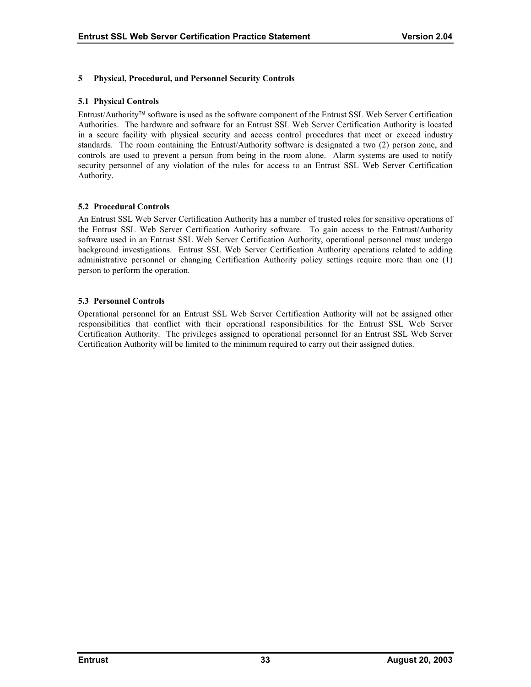# <span id="page-37-0"></span>**5 Physical, Procedural, and Personnel Security Controls**

#### **5.1 Physical Controls**

Entrust/Authority software is used as the software component of the Entrust SSL Web Server Certification Authorities. The hardware and software for an Entrust SSL Web Server Certification Authority is located in a secure facility with physical security and access control procedures that meet or exceed industry standards. The room containing the Entrust/Authority software is designated a two (2) person zone, and controls are used to prevent a person from being in the room alone. Alarm systems are used to notify security personnel of any violation of the rules for access to an Entrust SSL Web Server Certification Authority.

#### **5.2 Procedural Controls**

An Entrust SSL Web Server Certification Authority has a number of trusted roles for sensitive operations of the Entrust SSL Web Server Certification Authority software. To gain access to the Entrust/Authority software used in an Entrust SSL Web Server Certification Authority, operational personnel must undergo background investigations. Entrust SSL Web Server Certification Authority operations related to adding administrative personnel or changing Certification Authority policy settings require more than one (1) person to perform the operation.

#### **5.3 Personnel Controls**

Operational personnel for an Entrust SSL Web Server Certification Authority will not be assigned other responsibilities that conflict with their operational responsibilities for the Entrust SSL Web Server Certification Authority. The privileges assigned to operational personnel for an Entrust SSL Web Server Certification Authority will be limited to the minimum required to carry out their assigned duties.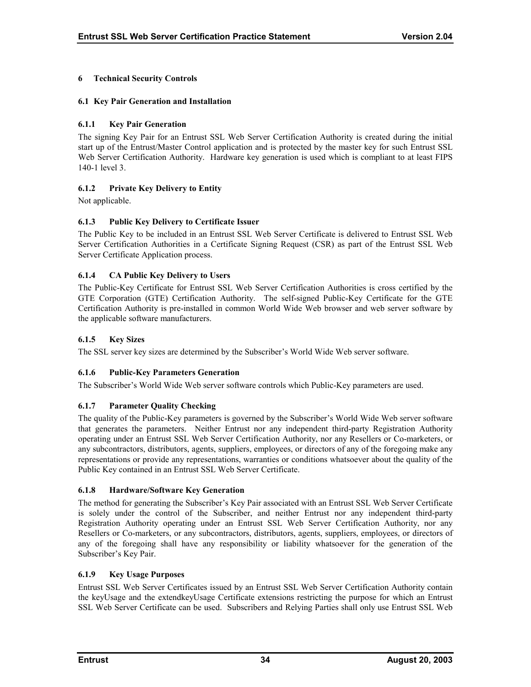# <span id="page-38-0"></span>**6 Technical Security Controls**

# **6.1 Key Pair Generation and Installation**

# **6.1.1 Key Pair Generation**

The signing Key Pair for an Entrust SSL Web Server Certification Authority is created during the initial start up of the Entrust/Master Control application and is protected by the master key for such Entrust SSL Web Server Certification Authority. Hardware key generation is used which is compliant to at least FIPS 140-1 level 3.

# **6.1.2 Private Key Delivery to Entity**

Not applicable.

# **6.1.3 Public Key Delivery to Certificate Issuer**

The Public Key to be included in an Entrust SSL Web Server Certificate is delivered to Entrust SSL Web Server Certification Authorities in a Certificate Signing Request (CSR) as part of the Entrust SSL Web Server Certificate Application process.

# **6.1.4 CA Public Key Delivery to Users**

The Public-Key Certificate for Entrust SSL Web Server Certification Authorities is cross certified by the GTE Corporation (GTE) Certification Authority. The self-signed Public-Key Certificate for the GTE Certification Authority is pre-installed in common World Wide Web browser and web server software by the applicable software manufacturers.

#### **6.1.5 Key Sizes**

The SSL server key sizes are determined by the Subscriber's World Wide Web server software.

# **6.1.6 Public-Key Parameters Generation**

The Subscriber's World Wide Web server software controls which Public-Key parameters are used.

# **6.1.7 Parameter Quality Checking**

The quality of the Public-Key parameters is governed by the Subscriber's World Wide Web server software that generates the parameters. Neither Entrust nor any independent third-party Registration Authority operating under an Entrust SSL Web Server Certification Authority, nor any Resellers or Co-marketers, or any subcontractors, distributors, agents, suppliers, employees, or directors of any of the foregoing make any representations or provide any representations, warranties or conditions whatsoever about the quality of the Public Key contained in an Entrust SSL Web Server Certificate.

#### **6.1.8 Hardware/Software Key Generation**

The method for generating the Subscriber's Key Pair associated with an Entrust SSL Web Server Certificate is solely under the control of the Subscriber, and neither Entrust nor any independent third-party Registration Authority operating under an Entrust SSL Web Server Certification Authority, nor any Resellers or Co-marketers, or any subcontractors, distributors, agents, suppliers, employees, or directors of any of the foregoing shall have any responsibility or liability whatsoever for the generation of the Subscriber's Key Pair.

# **6.1.9 Key Usage Purposes**

Entrust SSL Web Server Certificates issued by an Entrust SSL Web Server Certification Authority contain the keyUsage and the extendkeyUsage Certificate extensions restricting the purpose for which an Entrust SSL Web Server Certificate can be used. Subscribers and Relying Parties shall only use Entrust SSL Web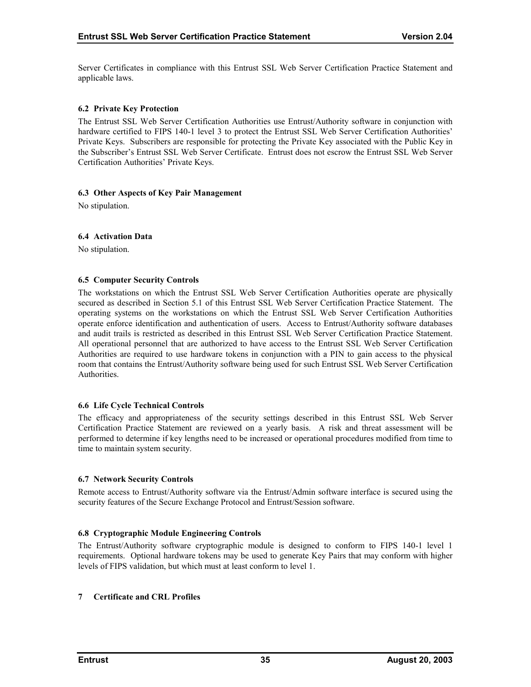<span id="page-39-0"></span>Server Certificates in compliance with this Entrust SSL Web Server Certification Practice Statement and applicable laws.

#### **6.2 Private Key Protection**

The Entrust SSL Web Server Certification Authorities use Entrust/Authority software in conjunction with hardware certified to FIPS 140-1 level 3 to protect the Entrust SSL Web Server Certification Authorities' Private Keys. Subscribers are responsible for protecting the Private Key associated with the Public Key in the Subscriber's Entrust SSL Web Server Certificate. Entrust does not escrow the Entrust SSL Web Server Certification Authorities' Private Keys.

#### **6.3 Other Aspects of Key Pair Management**

No stipulation.

#### **6.4 Activation Data**

No stipulation.

#### **6.5 Computer Security Controls**

The workstations on which the Entrust SSL Web Server Certification Authorities operate are physically secured as described in Section 5.1 of this Entrust SSL Web Server Certification Practice Statement. The operating systems on the workstations on which the Entrust SSL Web Server Certification Authorities operate enforce identification and authentication of users. Access to Entrust/Authority software databases and audit trails is restricted as described in this Entrust SSL Web Server Certification Practice Statement. All operational personnel that are authorized to have access to the Entrust SSL Web Server Certification Authorities are required to use hardware tokens in conjunction with a PIN to gain access to the physical room that contains the Entrust/Authority software being used for such Entrust SSL Web Server Certification **Authorities** 

#### **6.6 Life Cycle Technical Controls**

The efficacy and appropriateness of the security settings described in this Entrust SSL Web Server Certification Practice Statement are reviewed on a yearly basis. A risk and threat assessment will be performed to determine if key lengths need to be increased or operational procedures modified from time to time to maintain system security.

#### **6.7 Network Security Controls**

Remote access to Entrust/Authority software via the Entrust/Admin software interface is secured using the security features of the Secure Exchange Protocol and Entrust/Session software.

#### **6.8 Cryptographic Module Engineering Controls**

The Entrust/Authority software cryptographic module is designed to conform to FIPS 140-1 level 1 requirements. Optional hardware tokens may be used to generate Key Pairs that may conform with higher levels of FIPS validation, but which must at least conform to level 1.

#### **7 Certificate and CRL Profiles**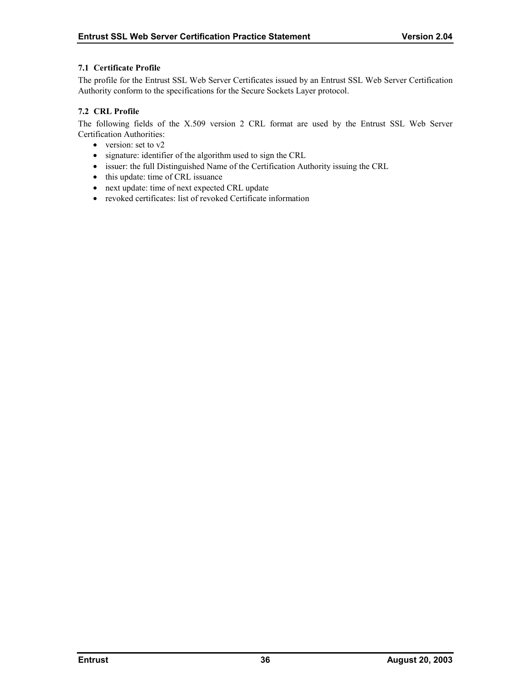#### <span id="page-40-0"></span>**7.1 Certificate Profile**

The profile for the Entrust SSL Web Server Certificates issued by an Entrust SSL Web Server Certification Authority conform to the specifications for the Secure Sockets Layer protocol.

# **7.2 CRL Profile**

The following fields of the X.509 version 2 CRL format are used by the Entrust SSL Web Server Certification Authorities:

- version: set to v2
- signature: identifier of the algorithm used to sign the CRL
- issuer: the full Distinguished Name of the Certification Authority issuing the CRL
- this update: time of CRL issuance
- next update: time of next expected CRL update
- revoked certificates: list of revoked Certificate information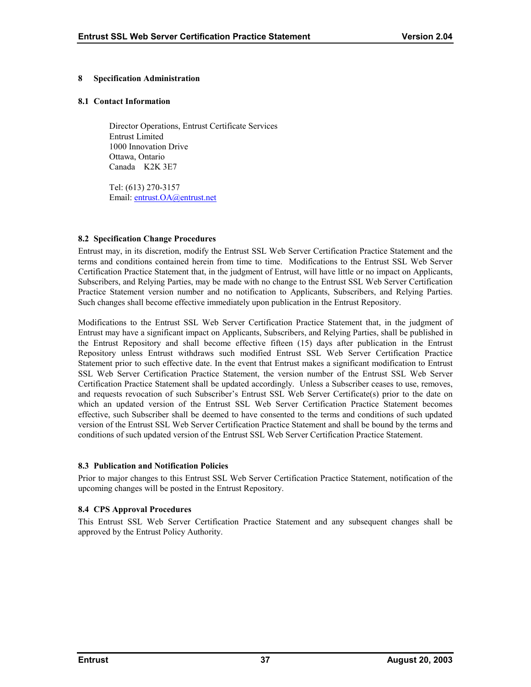#### <span id="page-41-0"></span>**8 Specification Administration**

#### **8.1 Contact Information**

Director Operations, Entrust Certificate Services Entrust Limited 1000 Innovation Drive Ottawa, Ontario Canada K2K 3E7

Tel: (613) 270-3157 Email: [entrust.OA@entrust.net](mailto:???@entrust.net)

#### **8.2 Specification Change Procedures**

Entrust may, in its discretion, modify the Entrust SSL Web Server Certification Practice Statement and the terms and conditions contained herein from time to time. Modifications to the Entrust SSL Web Server Certification Practice Statement that, in the judgment of Entrust, will have little or no impact on Applicants, Subscribers, and Relying Parties, may be made with no change to the Entrust SSL Web Server Certification Practice Statement version number and no notification to Applicants, Subscribers, and Relying Parties. Such changes shall become effective immediately upon publication in the Entrust Repository.

Modifications to the Entrust SSL Web Server Certification Practice Statement that, in the judgment of Entrust may have a significant impact on Applicants, Subscribers, and Relying Parties, shall be published in the Entrust Repository and shall become effective fifteen (15) days after publication in the Entrust Repository unless Entrust withdraws such modified Entrust SSL Web Server Certification Practice Statement prior to such effective date. In the event that Entrust makes a significant modification to Entrust SSL Web Server Certification Practice Statement, the version number of the Entrust SSL Web Server Certification Practice Statement shall be updated accordingly. Unless a Subscriber ceases to use, removes, and requests revocation of such Subscriber's Entrust SSL Web Server Certificate(s) prior to the date on which an updated version of the Entrust SSL Web Server Certification Practice Statement becomes effective, such Subscriber shall be deemed to have consented to the terms and conditions of such updated version of the Entrust SSL Web Server Certification Practice Statement and shall be bound by the terms and conditions of such updated version of the Entrust SSL Web Server Certification Practice Statement.

#### **8.3 Publication and Notification Policies**

Prior to major changes to this Entrust SSL Web Server Certification Practice Statement, notification of the upcoming changes will be posted in the Entrust Repository.

# **8.4 CPS Approval Procedures**

This Entrust SSL Web Server Certification Practice Statement and any subsequent changes shall be approved by the Entrust Policy Authority.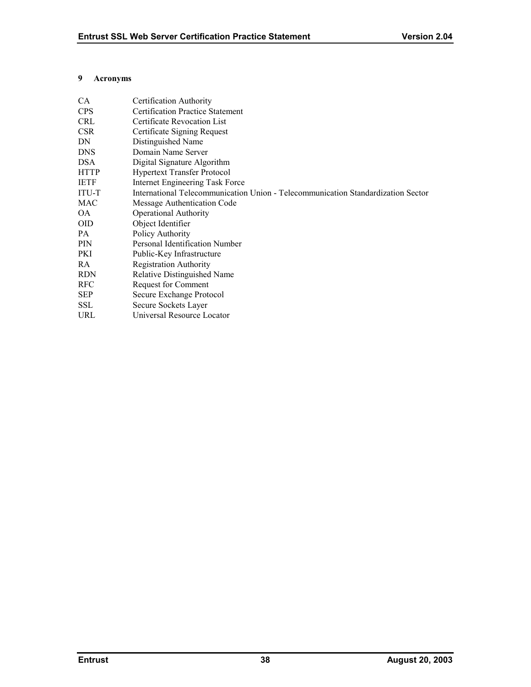#### <span id="page-42-0"></span>**9 Acronyms**

| <b>CA</b>   | Certification Authority                                                          |
|-------------|----------------------------------------------------------------------------------|
| <b>CPS</b>  | <b>Certification Practice Statement</b>                                          |
| <b>CRL</b>  | Certificate Revocation List                                                      |
| <b>CSR</b>  | Certificate Signing Request                                                      |
| DN          | Distinguished Name                                                               |
| <b>DNS</b>  | Domain Name Server                                                               |
| <b>DSA</b>  | Digital Signature Algorithm                                                      |
| <b>HTTP</b> | <b>Hypertext Transfer Protocol</b>                                               |
| <b>IETF</b> | Internet Engineering Task Force                                                  |
| ITU-T       | International Telecommunication Union - Telecommunication Standardization Sector |
| MAC         | Message Authentication Code                                                      |
| <b>OA</b>   | <b>Operational Authority</b>                                                     |
| <b>OID</b>  | Object Identifier                                                                |
| PA.         | Policy Authority                                                                 |
| <b>PIN</b>  | Personal Identification Number                                                   |
| PKI         | Public-Key Infrastructure                                                        |
| RA.         | <b>Registration Authority</b>                                                    |
| <b>RDN</b>  | Relative Distinguished Name                                                      |
| <b>RFC</b>  | <b>Request for Comment</b>                                                       |
| <b>SEP</b>  | Secure Exchange Protocol                                                         |
| <b>SSL</b>  | Secure Sockets Layer                                                             |
| URL         | Universal Resource Locator                                                       |
|             |                                                                                  |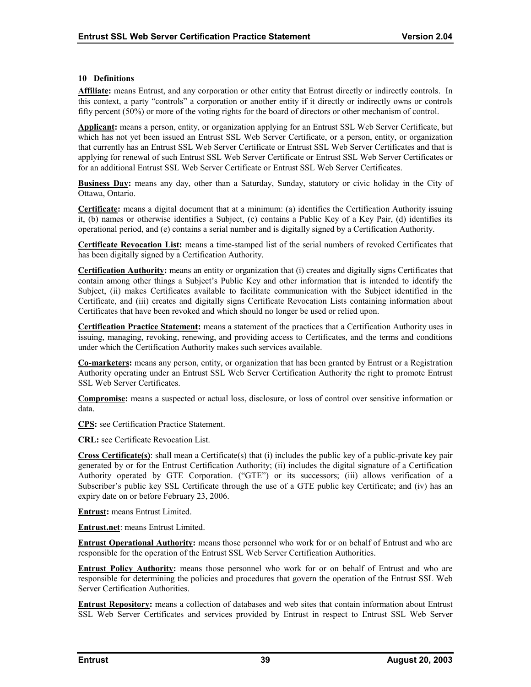#### <span id="page-43-0"></span>**10 Definitions**

**Affiliate:** means Entrust, and any corporation or other entity that Entrust directly or indirectly controls. In this context, a party "controls" a corporation or another entity if it directly or indirectly owns or controls fifty percent (50%) or more of the voting rights for the board of directors or other mechanism of control.

**Applicant:** means a person, entity, or organization applying for an Entrust SSL Web Server Certificate, but which has not yet been issued an Entrust SSL Web Server Certificate, or a person, entity, or organization that currently has an Entrust SSL Web Server Certificate or Entrust SSL Web Server Certificates and that is applying for renewal of such Entrust SSL Web Server Certificate or Entrust SSL Web Server Certificates or for an additional Entrust SSL Web Server Certificate or Entrust SSL Web Server Certificates.

**Business Day:** means any day, other than a Saturday, Sunday, statutory or civic holiday in the City of Ottawa, Ontario.

**Certificate:** means a digital document that at a minimum: (a) identifies the Certification Authority issuing it, (b) names or otherwise identifies a Subject, (c) contains a Public Key of a Key Pair, (d) identifies its operational period, and (e) contains a serial number and is digitally signed by a Certification Authority.

**Certificate Revocation List:** means a time-stamped list of the serial numbers of revoked Certificates that has been digitally signed by a Certification Authority.

**Certification Authority:** means an entity or organization that (i) creates and digitally signs Certificates that contain among other things a Subject's Public Key and other information that is intended to identify the Subject, (ii) makes Certificates available to facilitate communication with the Subject identified in the Certificate, and (iii) creates and digitally signs Certificate Revocation Lists containing information about Certificates that have been revoked and which should no longer be used or relied upon.

**Certification Practice Statement:** means a statement of the practices that a Certification Authority uses in issuing, managing, revoking, renewing, and providing access to Certificates, and the terms and conditions under which the Certification Authority makes such services available.

**Co-marketers:** means any person, entity, or organization that has been granted by Entrust or a Registration Authority operating under an Entrust SSL Web Server Certification Authority the right to promote Entrust SSL Web Server Certificates.

**Compromise:** means a suspected or actual loss, disclosure, or loss of control over sensitive information or data.

**CPS:** see Certification Practice Statement.

**CRL:** see Certificate Revocation List.

**Cross Certificate(s)**: shall mean a Certificate(s) that (i) includes the public key of a public-private key pair generated by or for the Entrust Certification Authority; (ii) includes the digital signature of a Certification Authority operated by GTE Corporation. ("GTE") or its successors; (iii) allows verification of a Subscriber's public key SSL Certificate through the use of a GTE public key Certificate; and (iv) has an expiry date on or before February 23, 2006.

**Entrust:** means Entrust Limited.

**Entrust.net**: means Entrust Limited.

**Entrust Operational Authority:** means those personnel who work for or on behalf of Entrust and who are responsible for the operation of the Entrust SSL Web Server Certification Authorities.

**Entrust Policy Authority:** means those personnel who work for or on behalf of Entrust and who are responsible for determining the policies and procedures that govern the operation of the Entrust SSL Web Server Certification Authorities.

**Entrust Repository:** means a collection of databases and web sites that contain information about Entrust SSL Web Server Certificates and services provided by Entrust in respect to Entrust SSL Web Server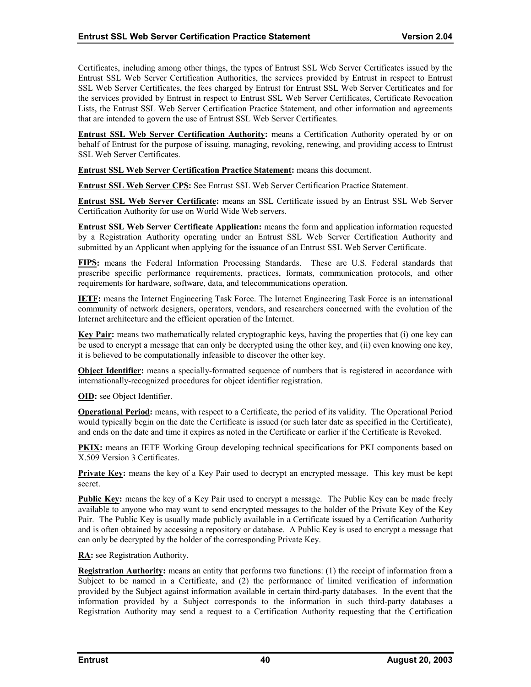Certificates, including among other things, the types of Entrust SSL Web Server Certificates issued by the Entrust SSL Web Server Certification Authorities, the services provided by Entrust in respect to Entrust SSL Web Server Certificates, the fees charged by Entrust for Entrust SSL Web Server Certificates and for the services provided by Entrust in respect to Entrust SSL Web Server Certificates, Certificate Revocation Lists, the Entrust SSL Web Server Certification Practice Statement, and other information and agreements that are intended to govern the use of Entrust SSL Web Server Certificates.

**Entrust SSL Web Server Certification Authority:** means a Certification Authority operated by or on behalf of Entrust for the purpose of issuing, managing, revoking, renewing, and providing access to Entrust SSL Web Server Certificates.

**Entrust SSL Web Server Certification Practice Statement:** means this document.

**Entrust SSL Web Server CPS:** See Entrust SSL Web Server Certification Practice Statement.

**Entrust SSL Web Server Certificate:** means an SSL Certificate issued by an Entrust SSL Web Server Certification Authority for use on World Wide Web servers.

**Entrust SSL Web Server Certificate Application:** means the form and application information requested by a Registration Authority operating under an Entrust SSL Web Server Certification Authority and submitted by an Applicant when applying for the issuance of an Entrust SSL Web Server Certificate.

**FIPS:** means the Federal Information Processing Standards. These are U.S. Federal standards that prescribe specific performance requirements, practices, formats, communication protocols, and other requirements for hardware, software, data, and telecommunications operation.

**IETF:** means the Internet Engineering Task Force. The Internet Engineering Task Force is an international community of network designers, operators, vendors, and researchers concerned with the evolution of the Internet architecture and the efficient operation of the Internet.

**Key Pair:** means two mathematically related cryptographic keys, having the properties that (i) one key can be used to encrypt a message that can only be decrypted using the other key, and (ii) even knowing one key, it is believed to be computationally infeasible to discover the other key.

**Object Identifier:** means a specially-formatted sequence of numbers that is registered in accordance with internationally-recognized procedures for object identifier registration.

**OID:** see Object Identifier.

**Operational Period:** means, with respect to a Certificate, the period of its validity. The Operational Period would typically begin on the date the Certificate is issued (or such later date as specified in the Certificate), and ends on the date and time it expires as noted in the Certificate or earlier if the Certificate is Revoked.

**PKIX:** means an IETF Working Group developing technical specifications for PKI components based on X.509 Version 3 Certificates.

**Private Key:** means the key of a Key Pair used to decrypt an encrypted message. This key must be kept secret.

**Public Key:** means the key of a Key Pair used to encrypt a message. The Public Key can be made freely available to anyone who may want to send encrypted messages to the holder of the Private Key of the Key Pair. The Public Key is usually made publicly available in a Certificate issued by a Certification Authority and is often obtained by accessing a repository or database. A Public Key is used to encrypt a message that can only be decrypted by the holder of the corresponding Private Key.

**RA:** see Registration Authority.

**Registration Authority:** means an entity that performs two functions: (1) the receipt of information from a Subject to be named in a Certificate, and (2) the performance of limited verification of information provided by the Subject against information available in certain third-party databases. In the event that the information provided by a Subject corresponds to the information in such third-party databases a Registration Authority may send a request to a Certification Authority requesting that the Certification